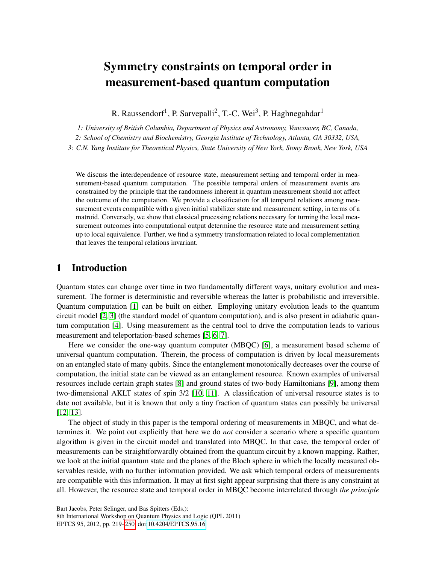# Symmetry constraints on temporal order in measurement-based quantum computation

R. Raussendorf<sup>1</sup>, P. Sarvepalli<sup>2</sup>, T.-C. Wei<sup>3</sup>, P. Haghnegahdar<sup>1</sup>

*1: University of British Columbia, Department of Physics and Astronomy, Vancouver, BC, Canada,*

*2: School of Chemistry and Biochemistry, Georgia Institute of Technology, Atlanta, GA 30332, USA,*

*3: C.N. Yang Institute for Theoretical Physics, State University of New York, Stony Brook, New York, USA*

We discuss the interdependence of resource state, measurement setting and temporal order in measurement-based quantum computation. The possible temporal orders of measurement events are constrained by the principle that the randomness inherent in quantum measurement should not affect the outcome of the computation. We provide a classification for all temporal relations among measurement events compatible with a given initial stabilizer state and measurement setting, in terms of a matroid. Conversely, we show that classical processing relations necessary for turning the local measurement outcomes into computational output determine the resource state and measurement setting up to local equivalence. Further, we find a symmetry transformation related to local complementation that leaves the temporal relations invariant.

# 1 Introduction

Quantum states can change over time in two fundamentally different ways, unitary evolution and measurement. The former is deterministic and reversible whereas the latter is probabilistic and irreversible. Quantum computation [\[1\]](#page-27-0) can be built on either. Employing unitary evolution leads to the quantum circuit model [\[2,](#page-27-1) [3\]](#page-27-2) (the standard model of quantum computation), and is also present in adiabatic quantum computation [\[4\]](#page-27-3). Using measurement as the central tool to drive the computation leads to various measurement and teleportation-based schemes [\[5,](#page-27-4) [6,](#page-27-5) [7\]](#page-27-6).

Here we consider the one-way quantum computer (MBQC) [\[6\]](#page-27-5), a measurement based scheme of universal quantum computation. Therein, the process of computation is driven by local measurements on an entangled state of many qubits. Since the entanglement monotonically decreases over the course of computation, the initial state can be viewed as an entanglement resource. Known examples of universal resources include certain graph states [\[8\]](#page-27-7) and ground states of two-body Hamiltonians [\[9\]](#page-27-8), among them two-dimensional AKLT states of spin 3/2 [\[10,](#page-27-9) [11\]](#page-27-10). A classification of universal resource states is to date not available, but it is known that only a tiny fraction of quantum states can possibly be universal [\[12,](#page-27-11) [13\]](#page-27-12).

The object of study in this paper is the temporal ordering of measurements in MBQC, and what determines it. We point out explicitly that here we do *not* consider a scenario where a specific quantum algorithm is given in the circuit model and translated into MBQC. In that case, the temporal order of measurements can be straightforwardly obtained from the quantum circuit by a known mapping. Rather, we look at the initial quantum state and the planes of the Bloch sphere in which the locally measured observables reside, with no further information provided. We ask which temporal orders of measurements are compatible with this information. It may at first sight appear surprising that there is any constraint at all. However, the resource state and temporal order in MBQC become interrelated through *the principle*

Bart Jacobs, Peter Selinger, and Bas Spitters (Eds.): 8th International Workshop on Quantum Physics and Logic (QPL 2011) EPTCS 95, 2012, pp. 219[–250,](#page-31-0) doi[:10.4204/EPTCS.95.16](http://dx.doi.org/10.4204/EPTCS.95.16)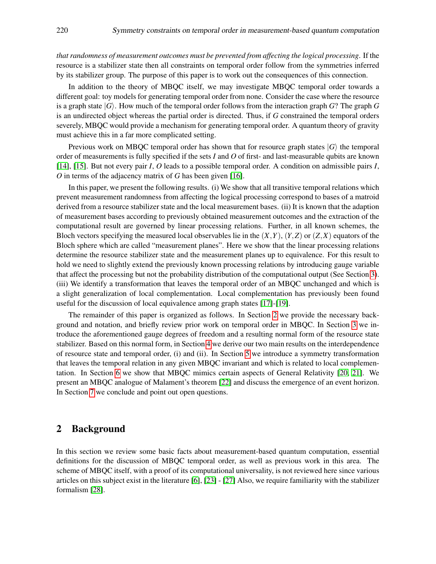*that randomness of measurement outcomes must be prevented from affecting the logical processing*. If the resource is a stabilizer state then all constraints on temporal order follow from the symmetries inferred by its stabilizer group. The purpose of this paper is to work out the consequences of this connection.

In addition to the theory of MBQC itself, we may investigate MBQC temporal order towards a different goal: toy models for generating temporal order from none. Consider the case where the resource is a graph state  $|G\rangle$ . How much of the temporal order follows from the interaction graph  $G$ ? The graph  $G$ is an undirected object whereas the partial order is directed. Thus, if *G* constrained the temporal orders severely, MBQC would provide a mechanism for generating temporal order. A quantum theory of gravity must achieve this in a far more complicated setting.

Previous work on MBQC temporal order has shown that for resource graph states  $|G\rangle$  the temporal order of measurements is fully specified if the sets *I* and *O* of first- and last-measurable qubits are known [\[14\]](#page-27-13), [\[15\]](#page-27-14). But not every pair *I*, *O* leads to a possible temporal order. A condition on admissible pairs *I*, *O* in terms of the adjacency matrix of *G* has been given [\[16\]](#page-27-15).

In this paper, we present the following results. (i) We show that all transitive temporal relations which prevent measurement randomness from affecting the logical processing correspond to bases of a matroid derived from a resource stabilizer state and the local measurement bases. (ii) It is known that the adaption of measurement bases according to previously obtained measurement outcomes and the extraction of the computational result are governed by linear processing relations. Further, in all known schemes, the Bloch vectors specifying the measured local observables lie in the  $(X, Y)$ ,  $(Y, Z)$  or  $(Z, X)$  equators of the Bloch sphere which are called "measurement planes". Here we show that the linear processing relations determine the resource stabilizer state and the measurement planes up to equivalence. For this result to hold we need to slightly extend the previously known processing relations by introducing gauge variable that affect the processing but not the probability distribution of the computational output (See Section [3\)](#page-6-0). (iii) We identify a transformation that leaves the temporal order of an MBQC unchanged and which is a slight generalization of local complementation. Local complementation has previously been found useful for the discussion of local equivalence among graph states [\[17\]](#page-28-0)-[\[19\]](#page-28-1).

The remainder of this paper is organized as follows. In Section [2](#page-1-0) we provide the necessary background and notation, and briefly review prior work on temporal order in MBQC. In Section [3](#page-6-0) we introduce the aforementioned gauge degrees of freedom and a resulting normal form of the resource state stabilizer. Based on this normal form, in Section [4](#page-13-0) we derive our two main results on the interdependence of resource state and temporal order, (i) and (ii). In Section [5](#page-19-0) we introduce a symmetry transformation that leaves the temporal relation in any given MBQC invariant and which is related to local complementation. In Section [6](#page-22-0) we show that MBQC mimics certain aspects of General Relativity [\[20,](#page-28-2) [21\]](#page-28-3). We present an MBQC analogue of Malament's theorem [\[22\]](#page-28-4) and discuss the emergence of an event horizon. In Section [7](#page-26-0) we conclude and point out open questions.

# <span id="page-1-0"></span>2 Background

In this section we review some basic facts about measurement-based quantum computation, essential definitions for the discussion of MBQC temporal order, as well as previous work in this area. The scheme of MBQC itself, with a proof of its computational universality, is not reviewed here since various articles on this subject exist in the literature [\[6\]](#page-27-5), [\[23\]](#page-28-5) - [\[27\]](#page-28-6) Also, we require familiarity with the stabilizer formalism [\[28\]](#page-28-7).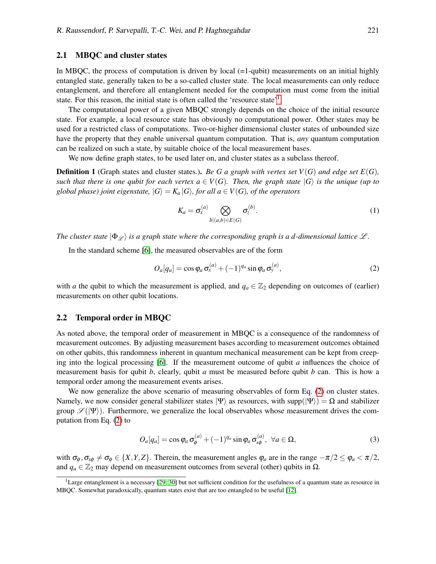# 2.1 MBQC and cluster states

In MBQC, the process of computation is driven by local (=1-qubit) measurements on an initial highly entangled state, generally taken to be a so-called cluster state. The local measurements can only reduce entanglement, and therefore all entanglement needed for the computation must come from the initial state. For this reason, the initial state is often called the 'resource state'<sup>[1](#page-2-0)</sup>.

The computational power of a given MBQC strongly depends on the choice of the initial resource state. For example, a local resource state has obviously no computational power. Other states may be used for a restricted class of computations. Two-or-higher dimensional cluster states of unbounded size have the property that they enable universal quantum computation. That is, *any* quantum computation can be realized on such a state, by suitable choice of the local measurement bases.

We now define graph states, to be used later on, and cluster states as a subclass thereof.

<span id="page-2-4"></span>**Definition 1** (Graph states and cluster states.). *Be G a graph with vertex set*  $V(G)$  *and edge set*  $E(G)$ *, such that there is one qubit for each vertex*  $a \in V(G)$ *. Then, the graph state*  $|G\rangle$  *is the unique (up to global phase) joint eigenstate,*  $|G\rangle = K_a |G\rangle$ *, for all a*  $\in V(G)$ *, of the operators* 

<span id="page-2-1"></span>
$$
K_a = \sigma_x^{(a)} \bigotimes_{b|(a,b)\in E(G)} \sigma_z^{(b)}.
$$
 (1)

*The cluster state*  $|\Phi_{\mathscr{L}}\rangle$  *is a graph state where the corresponding graph is a d-dimensional lattice*  $\mathscr{L}$ *.* 

In the standard scheme [\[6\]](#page-27-5), the measured observables are of the form

$$
O_a[q_a] = \cos \varphi_a \sigma_x^{(a)} + (-1)^{q_a} \sin \varphi_a \sigma_y^{(a)}, \qquad (2)
$$

with *a* the qubit to which the measurement is applied, and  $q_a \in \mathbb{Z}_2$  depending on outcomes of (earlier) measurements on other qubit locations.

#### <span id="page-2-2"></span>2.2 Temporal order in MBQC

As noted above, the temporal order of measurement in MBQC is a consequence of the randomness of measurement outcomes. By adjusting measurement bases according to measurement outcomes obtained on other qubits, this randomness inherent in quantum mechanical measurement can be kept from creeping into the logical processing [\[6\]](#page-27-5). If the measurement outcome of qubit *a* influences the choice of measurement basis for qubit *b*, clearly, qubit *a* must be measured before qubit *b* can. This is how a temporal order among the measurement events arises.

We now generalize the above scenario of measuring observables of form Eq. [\(2\)](#page-2-1) on cluster states. Namely, we now consider general stabilizer states  $|\Psi\rangle$  as resources, with supp( $|\Psi\rangle$ ) =  $\Omega$  and stabilizer group  $\mathscr{S}(|\Psi\rangle)$ . Furthermore, we generalize the local observables whose measurement drives the computation from Eq. [\(2\)](#page-2-1) to

<span id="page-2-3"></span>
$$
O_a[q_a] = \cos \varphi_a \sigma_{\phi}^{(a)} + (-1)^{q_a} \sin \varphi_a \sigma_{s\phi}^{(a)}, \ \forall a \in \Omega,
$$
\n(3)

with  $\sigma_{\phi}$ ,  $\sigma_{s\phi} \neq \sigma_{\phi} \in \{X, Y, Z\}$ . Therein, the measurement angles  $\varphi_a$  are in the range  $-\pi/2 \leq \varphi_a < \pi/2$ , and  $q_a \in \mathbb{Z}_2$  may depend on measurement outcomes from several (other) qubits in  $\Omega$ .

<span id="page-2-0"></span> $<sup>1</sup>$ Large entanglement is a necessary [\[29,](#page-28-8) [30\]](#page-28-9) but not sufficient condition for the usefulness of a quantum state as resource in</sup> MBQC. Somewhat paradoxically, quantum states exist that are too entangled to be useful [\[12\]](#page-27-11).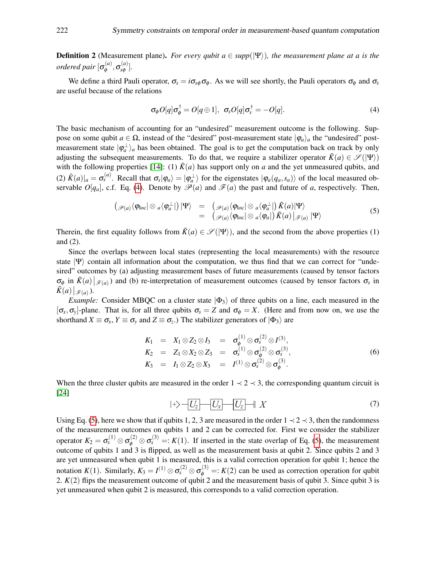**Definition 2** (Measurement plane). *For every qubit a*  $\in$  *supp*( $|\Psi\rangle$ ), the measurement plane at a is the *ordered pair* [σ (*a*)  $\sigma_{\phi}^{(a)},\sigma_{s\phi}^{(a)}$ *s*φ ]*.*

We define a third Pauli operator,  $\sigma_s = i\sigma_{s\phi}\sigma_{\phi}$ . As we will see shortly, the Pauli operators  $\sigma_{\phi}$  and  $\sigma_s$ are useful because of the relations

<span id="page-3-0"></span>
$$
\sigma_{\phi}O[q]\sigma_{\phi}^{\dagger}=O[q\oplus 1], \ \sigma_{s}O[q]\sigma_{s}^{\dagger}=-O[q]. \qquad (4)
$$

The basic mechanism of accounting for an "undesired" measurement outcome is the following. Suppose on some qubit *a*  $\in$  Ω, instead of the "desired" post-measurement state  $|\varphi_a\rangle_a$  the "undesired" postmeasurement state  $|\varphi_a^{\perp}\rangle_a$  has been obtained. The goal is to get the computation back on track by only adjusting the subsequent measurements. To do that, we require a stabilizer operator  $\tilde{K}(a) \in \mathscr{S}(|\Psi\rangle)$ with the following properties [\[14\]](#page-27-13): (1)  $\tilde{K}(a)$  has support only on *a* and the yet unmeasured qubits, and (2)  $\tilde{K}(a)|_a = \sigma_s^{(a)}$ . Recall that  $\sigma_s |\varphi_a\rangle = |\varphi_a^{\perp}\rangle$  for the eigenstates  $|\varphi_a(q_a, s_a)\rangle$  of the local measured observable  $O[q_a]$ , c.f. Eq. [\(4\)](#page-3-0). Denote by  $\mathcal{P}(a)$  and  $\mathcal{F}(a)$  the past and future of *a*, respectively. Then,

$$
\begin{array}{rcl}\n\left(\mathscr{P}(a)\langle \varphi_{\text{loc}}|\otimes a\langle \varphi_{a}^{\perp}| \right) |\Psi\rangle & = & \left(\mathscr{P}(a)\langle \varphi_{\text{loc}}|\otimes a\langle \varphi_{a}^{\perp}| \right) \tilde{K}(a) |\Psi\rangle \\
& = & \left(\mathscr{P}(a)\langle \varphi_{\text{loc}}|\otimes a\langle \varphi_{a}| \right) \tilde{K}(a) |_{\mathscr{F}(a)} |\Psi\rangle\n\end{array}\n\tag{5}
$$

<span id="page-3-1"></span>Therein, the first equality follows from  $\tilde{K}(a) \in \mathscr{S}(|\Psi\rangle)$ , and the second from the above properties (1) and (2).

Since the overlaps between local states (representing the local measurements) with the resource state  $|\Psi\rangle$  contain all information about the computation, we thus find that we can correct for "undesired" outcomes by (a) adjusting measurement bases of future measurements (caused by tensor factors  $\sigma_{\phi}$  in  $\tilde{K}(a)|_{\mathscr{F}(a)}$ ) and (b) re-interpretation of measurement outcomes (caused by tensor factors  $\sigma_{s}$  in  $\tilde{K}(a) |_{\mathscr{F}(a)}$ ).

*Example:* Consider MBQC on a cluster state  $|\Phi_3\rangle$  of three qubits on a line, each measured in the  $[\sigma_x, \sigma_y]$ -plane. That is, for all three qubits  $\sigma_s = Z$  and  $\sigma_\phi = X$ . (Here and from now on, we use the shorthand  $X \equiv \sigma_x$ ,  $Y \equiv \sigma_y$  and  $Z \equiv \sigma_z$ .) The stabilizer generators of  $|\Phi_3\rangle$  are

<span id="page-3-3"></span>
$$
K_1 = X_1 \otimes Z_2 \otimes I_3 = \sigma_{\phi}^{(1)} \otimes \sigma_s^{(2)} \otimes I^{(3)},
$$
  
\n
$$
K_2 = Z_1 \otimes X_2 \otimes Z_3 = \sigma_s^{(1)} \otimes \sigma_{\phi}^{(2)} \otimes \sigma_s^{(3)},
$$
  
\n
$$
K_3 = I_1 \otimes Z_2 \otimes X_3 = I^{(1)} \otimes \sigma_s^{(2)} \otimes \sigma_{\phi}^{(3)}.
$$
  
\n(6)

<span id="page-3-2"></span>When the three cluster qubits are measured in the order  $1 \prec 2 \prec 3$ , the corresponding quantum circuit is [\[24\]](#page-28-10)

$$
|\!+\rangle \!-\!\!\overline{U_z}\!-\!\overline{U_x}\!-\!\overline{U_z}\!-\!|\!| \,X\tag{7}
$$

Using Eq. [\(5\)](#page-3-1), here we show that if qubits 1, 2, 3 are measured in the order  $1 \prec 2 \prec 3$ , then the randomness of the measurement outcomes on qubits 1 and 2 can be corrected for. First we consider the stabilizer operator  $K_2 = \sigma_s^{(1)} \otimes \sigma_\phi^{(2)} \otimes \sigma_s^{(3)} =: K(1)$ . If inserted in the state overlap of Eq. [\(5\)](#page-3-1), the measurement outcome of qubits 1 and 3 is flipped, as well as the measurement basis at qubit 2. Since qubits 2 and 3 are yet unmeasured when qubit 1 is measured, this is a valid correction operation for qubit 1; hence the notation  $K(1)$ . Similarly,  $K_3 = I^{(1)} \otimes \sigma_s^{(2)} \otimes \sigma_\phi^{(3)} =: K(2)$  can be used as correction operation for qubit 2.  $K(2)$  flips the measurement outcome of qubit 2 and the measurement basis of qubit 3. Since qubit 3 is yet unmeasured when qubit 2 is measured, this corresponds to a valid correction operation.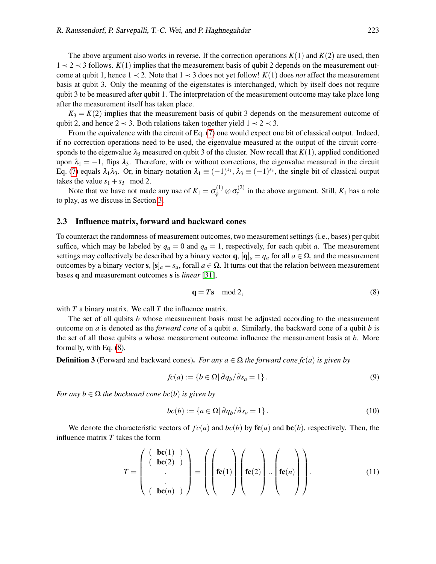The above argument also works in reverse. If the correction operations  $K(1)$  and  $K(2)$  are used, then 1 ≺ 2 ≺ 3 follows. *K*(1) implies that the measurement basis of qubit 2 depends on the measurement outcome at qubit 1, hence  $1 \prec 2$ . Note that  $1 \prec 3$  does not yet follow!  $K(1)$  does *not* affect the measurement basis at qubit 3. Only the meaning of the eigenstates is interchanged, which by itself does not require qubit 3 to be measured after qubit 1. The interpretation of the measurement outcome may take place long after the measurement itself has taken place.

 $K_3 = K(2)$  implies that the measurement basis of qubit 3 depends on the measurement outcome of qubit 2, and hence  $2 \prec 3$ . Both relations taken together yield  $1 \prec 2 \prec 3$ .

From the equivalence with the circuit of Eq. [\(7\)](#page-3-2) one would expect one bit of classical output. Indeed, if no correction operations need to be used, the eigenvalue measured at the output of the circuit corresponds to the eigenvalue  $\lambda_3$  measured on qubit 3 of the cluster. Now recall that  $K(1)$ , applied conditioned upon  $\lambda_1 = -1$ , flips  $\lambda_3$ . Therefore, with or without corrections, the eigenvalue measured in the circuit Eq. [\(7\)](#page-3-2) equals  $\lambda_1 \lambda_3$ . Or, in binary notation  $\lambda_1 \equiv (-1)^{s_1}$ ,  $\lambda_3 \equiv (-1)^{s_3}$ , the single bit of classical output takes the value  $s_1 + s_3 \mod 2$ .

Note that we have not made any use of  $K_1 = \sigma_{\phi}^{(1)} \otimes \sigma_s^{(2)}$  in the above argument. Still,  $K_1$  has a role to play, as we discuss in Section [3.](#page-6-0)

### 2.3 Influence matrix, forward and backward cones

To counteract the randomness of measurement outcomes, two measurement settings (i.e., bases) per qubit suffice, which may be labeled by  $q_a = 0$  and  $q_a = 1$ , respectively, for each qubit *a*. The measurement settings may collectively be described by a binary vector q,  $[q]_a = q_a$  for all  $a \in \Omega$ , and the measurement outcomes by a binary vector s, [s]*<sup>a</sup>* = *sa*, forall *a* ∈ Ω. It turns out that the relation between measurement bases q and measurement outcomes s is *linear* [\[31\]](#page-28-11),

<span id="page-4-0"></span>
$$
\mathbf{q} = T\mathbf{s} \mod 2,\tag{8}
$$

with *T* a binary matrix. We call *T* the influence matrix.

The set of all qubits *b* whose measurement basis must be adjusted according to the measurement outcome on *a* is denoted as the *forward cone* of a qubit *a*. Similarly, the backward cone of a qubit *b* is the set of all those qubits *a* whose measurement outcome influence the measurement basis at *b*. More formally, with Eq. [\(8\)](#page-4-0),

**Definition 3** (Forward and backward cones). *For any a*  $\in \Omega$  *the forward cone fc*(*a*) *is given by* 

$$
fc(a) := \{ b \in \Omega \mid \partial q_b / \partial s_a = 1 \}.
$$
\n<sup>(9)</sup>

*For any*  $b \in \Omega$  *the backward cone bc(b) is given by* 

$$
bc(b) := \{a \in \Omega \mid \partial q_b / \partial s_a = 1\}.
$$
\n<sup>(10)</sup>

We denote the characteristic vectors of  $f c(a)$  and  $b c(b)$  by  $f c(a)$  and  $b c(b)$ , respectively. Then, the influence matrix *T* takes the form

$$
T = \left(\begin{array}{c} \left(\begin{array}{c} \mathbf{bc}(1) \\ \mathbf{bc}(2) \end{array}\right) \\ \vdots \\ \left(\begin{array}{c} \mathbf{bc}(n) \end{array}\right) \end{array}\right) = \left(\left(\begin{array}{c} \mathbf{fc}(1) \\ \mathbf{fc}(1) \end{array}\right) \left(\begin{array}{c} \mathbf{fc}(2) \\ \vdots \\ \left(\begin{array}{c} \mathbf{fc}(n) \end{array}\right) \end{array}\right)\right).
$$
(11)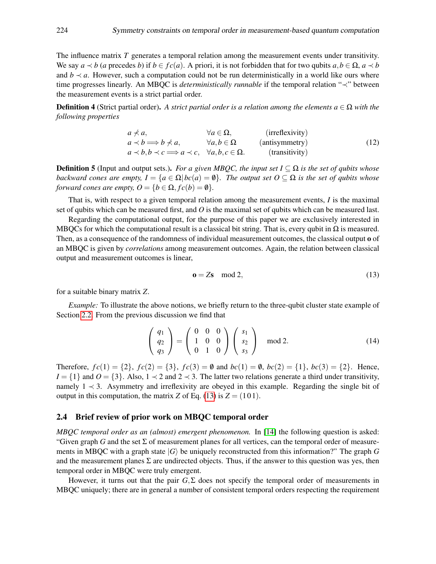The influence matrix *T* generates a temporal relation among the measurement events under transitivity. We say  $a \prec b$  (*a* precedes *b*) if  $b \in fc(a)$ . A priori, it is not forbidden that for two qubits  $a, b \in \Omega$ ,  $a \prec b$ and  $b \prec a$ . However, such a computation could not be run deterministically in a world like ours where time progresses linearly. An MBQC is *deterministically runnable* if the temporal relation "≺" between the measurement events is a strict partial order.

**Definition 4** (Strict partial order). A strict partial order is a relation among the elements  $a \in \Omega$  with the *following properties*

$$
a \nless a, \qquad \forall a \in \Omega, \qquad \text{(irreflexivity)}
$$
\n
$$
a \prec b \Longrightarrow b \nless a, \qquad \forall a, b \in \Omega \qquad \text{(antisymmetry)}
$$
\n
$$
a \prec b, b \prec c \Longrightarrow a \prec c, \qquad \forall a, b, c \in \Omega. \qquad \text{(transitivity)}
$$
\n
$$
(12)
$$

<span id="page-5-2"></span>**Definition 5** (Input and output sets.). *For a given MBQC, the input set I*  $\subseteq \Omega$  *is the set of qubits whose backward cones are empty,*  $I = \{a \in \Omega | bc(a) = \emptyset\}$ . The output set  $O \subseteq \Omega$  is the set of qubits whose *forward cones are empty,*  $O = \{b \in \Omega, fc(b) = \emptyset\}.$ 

That is, with respect to a given temporal relation among the measurement events,  $I$  is the maximal set of qubits which can be measured first, and *O* is the maximal set of qubits which can be measured last.

Regarding the computational output, for the purpose of this paper we are exclusively interested in MBQCs for which the computational result is a classical bit string. That is, every qubit in  $\Omega$  is measured. Then, as a consequence of the randomness of individual measurement outcomes, the classical output o of an MBQC is given by *correlations* among measurement outcomes. Again, the relation between classical output and measurement outcomes is linear,

<span id="page-5-1"></span><span id="page-5-0"></span>
$$
\mathbf{o} = Z\mathbf{s} \mod 2,\tag{13}
$$

for a suitable binary matrix *Z*.

*Example:* To illustrate the above notions, we briefly return to the three-qubit cluster state example of Section [2.2.](#page-2-2) From the previous discussion we find that

$$
\left(\begin{array}{c} q_1 \\ q_2 \\ q_3 \end{array}\right) = \left(\begin{array}{ccc} 0 & 0 & 0 \\ 1 & 0 & 0 \\ 0 & 1 & 0 \end{array}\right) \left(\begin{array}{c} s_1 \\ s_2 \\ s_3 \end{array}\right) \mod 2. \tag{14}
$$

Therefore,  $fc(1) = \{2\}$ ,  $fc(2) = \{3\}$ ,  $fc(3) = \emptyset$  and  $bc(1) = \emptyset$ ,  $bc(2) = \{1\}$ ,  $bc(3) = \{2\}$ . Hence,  $I = \{1\}$  and  $O = \{3\}$ . Also,  $1 \prec 2$  and  $2 \prec 3$ . The latter two relations generate a third under transitivity, namely  $1 \prec 3$ . Asymmetry and irreflexivity are obeyed in this example. Regarding the single bit of output in this computation, the matrix *Z* of Eq. [\(13\)](#page-5-0) is  $Z = (101)$ .

### 2.4 Brief review of prior work on MBQC temporal order

*MBQC temporal order as an (almost) emergent phenomenon.* In [\[14\]](#page-27-13) the following question is asked: "Given graph *G* and the set  $\Sigma$  of measurement planes for all vertices, can the temporal order of measurements in MBQC with a graph state  $|G\rangle$  be uniquely reconstructed from this information?" The graph G and the measurement planes  $\Sigma$  are undirected objects. Thus, if the answer to this question was yes, then temporal order in MBQC were truly emergent.

However, it turns out that the pair *G*,Σ does not specify the temporal order of measurements in MBQC uniquely; there are in general a number of consistent temporal orders respecting the requirement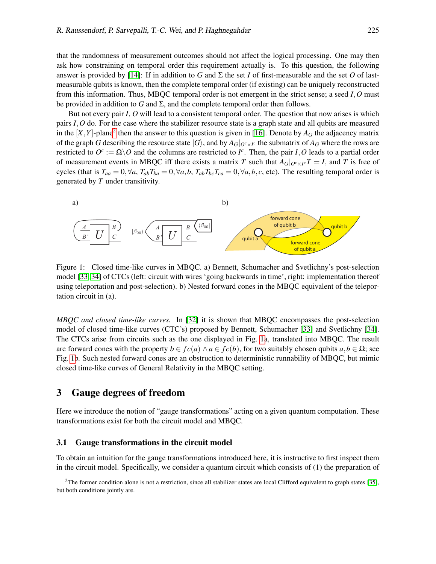that the randomness of measurement outcomes should not affect the logical processing. One may then ask how constraining on temporal order this requirement actually is. To this question, the following answer is provided by [\[14\]](#page-27-13): If in addition to *G* and  $\Sigma$  the set *I* of first-measurable and the set *O* of lastmeasurable qubits is known, then the complete temporal order (if existing) can be uniquely reconstructed from this information. Thus, MBQC temporal order is not emergent in the strict sense; a seed *I*,*O* must be provided in addition to G and  $\Sigma$ , and the complete temporal order then follows.

But not every pair *I*, *O* will lead to a consistent temporal order. The question that now arises is which pairs *I*,*O* do. For the case where the stabilizer resource state is a graph state and all qubits are measured in the  $[X, Y]$ -plane<sup>[2](#page-6-1)</sup> then the answer to this question is given in [\[16\]](#page-27-15). Denote by  $A_G$  the adjacency matrix of the graph *G* describing the resource state  $|G\rangle$ , and by  $A_G|_{O^c \times I^c}$  the submatrix of  $A_G$  where the rows are restricted to  $O^c := \Omega \backslash O$  and the columns are restricted to  $I^c$ . Then, the pair *I*, *O* leads to a partial order of measurement events in MBQC iff there exists a matrix *T* such that  $A_G|_{O^c \times I^c} T = I$ , and *T* is free of cycles (that is  $T_{aa} = 0$ ,  $\forall a$ ,  $T_{ab}T_{ba} = 0$ ,  $\forall a, b$ ,  $T_{ab}T_{bc}T_{ca} = 0$ ,  $\forall a, b, c$ , etc). The resulting temporal order is generated by *T* under transitivity.



<span id="page-6-2"></span>Figure 1: Closed time-like curves in MBQC. a) Bennett, Schumacher and Svetlichny's post-selection model [\[33,](#page-28-12) [34\]](#page-28-13) of CTCs (left: circuit with wires 'going backwards in time', right: implementation thereof using teleportation and post-selection). b) Nested forward cones in the MBQC equivalent of the teleportation circuit in (a).

*MBQC and closed time-like curves.* In [\[32\]](#page-28-14) it is shown that MBQC encompasses the post-selection model of closed time-like curves (CTC's) proposed by Bennett, Schumacher [\[33\]](#page-28-12) and Svetlichny [\[34\]](#page-28-13). The CTCs arise from circuits such as the one displayed in Fig. [1a](#page-6-2), translated into MBQC. The result are forward cones with the property  $b \in fc(a) \land a \in fc(b)$ , for two suitably chosen qubits  $a, b \in \Omega$ ; see Fig. [1b](#page-6-2). Such nested forward cones are an obstruction to deterministic runnability of MBQC, but mimic closed time-like curves of General Relativity in the MBQC setting.

# <span id="page-6-0"></span>3 Gauge degrees of freedom

Here we introduce the notion of "gauge transformations" acting on a given quantum computation. These transformations exist for both the circuit model and MBQC.

### 3.1 Gauge transformations in the circuit model

To obtain an intuition for the gauge transformations introduced here, it is instructive to first inspect them in the circuit model. Specifically, we consider a quantum circuit which consists of (1) the preparation of

<span id="page-6-1"></span> $2$ The former condition alone is not a restriction, since all stabilizer states are local Clifford equivalent to graph states [\[35\]](#page-28-15), but both conditions jointly are.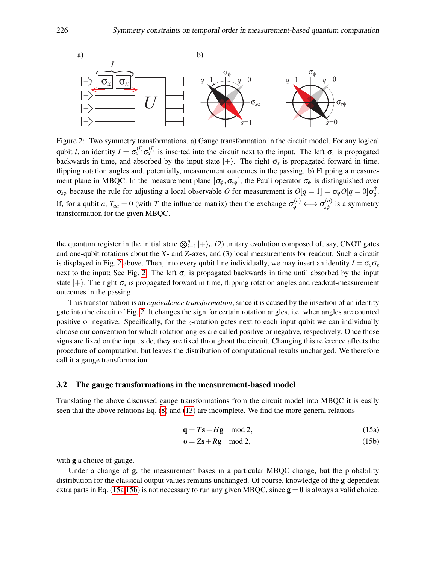

<span id="page-7-0"></span>Figure 2: Two symmetry transformations. a) Gauge transformation in the circuit model. For any logical qubit *l*, an identity  $I = \sigma_x^{(l)} \sigma_x^{(l)}$  is inserted into the circuit next to the input. The left  $\sigma_x$  is propagated backwards in time, and absorbed by the input state  $|+\rangle$ . The right  $\sigma_x$  is propagated forward in time, flipping rotation angles and, potentially, measurement outcomes in the passing. b) Flipping a measurement plane in MBQC. In the measurement plane  $[\sigma_{\phi}, \sigma_{s\phi}]$ , the Pauli operator  $\sigma_{\phi}$  is distinguished over  $\sigma_{s\phi}$  because the rule for adjusting a local observable *O* for measurement is  $O[q-1] = \sigma_{\phi}O[q-0]\sigma_{\phi}^{\dagger}$ φ . If, for a qubit *a*,  $T_{aa} = 0$  (with *T* the influence matrix) then the exchange  $\sigma_{\phi}^{(a)} \leftrightarrow \sigma_{s\phi}^{(a)}$  $\int_{s\phi}^{(a)}$  is a symmetry transformation for the given MBQC.

the quantum register in the initial state  $\bigotimes_{i=1}^{n} |+ \rangle_i$ , (2) unitary evolution composed of, say, CNOT gates and one-qubit rotations about the *X*- and *Z*-axes, and (3) local measurements for readout. Such a circuit is displayed in Fig. [2](#page-7-0) above. Then, into every qubit line individually, we may insert an identity  $I = \sigma_x \sigma_x$ next to the input; See Fig. [2.](#page-7-0) The left  $\sigma_x$  is propagated backwards in time until absorbed by the input state  $|+\rangle$ . The right  $\sigma_r$  is propagated forward in time, flipping rotation angles and readout-measurement outcomes in the passing.

This transformation is an *equivalence transformation*, since it is caused by the insertion of an identity gate into the circuit of Fig. [2.](#page-7-0) It changes the sign for certain rotation angles, i.e. when angles are counted positive or negative. Specifically, for the *z*-rotation gates next to each input qubit we can individually choose our convention for which rotation angles are called positive or negative, respectively. Once those signs are fixed on the input side, they are fixed throughout the circuit. Changing this reference affects the procedure of computation, but leaves the distribution of computational results unchanged. We therefore call it a gauge transformation.

#### 3.2 The gauge transformations in the measurement-based model

Translating the above discussed gauge transformations from the circuit model into MBQC it is easily seen that the above relations Eq. [\(8\)](#page-4-0) and [\(13\)](#page-5-0) are incomplete. We find the more general relations

<span id="page-7-2"></span><span id="page-7-1"></span>
$$
\mathbf{q} = T\mathbf{s} + H\mathbf{g} \mod 2,\tag{15a}
$$

$$
\mathbf{o} = Z\mathbf{s} + R\mathbf{g} \mod 2,\tag{15b}
$$

with **g** a choice of gauge.

Under a change of **g**, the measurement bases in a particular MBQC change, but the probability distribution for the classical output values remains unchanged. Of course, knowledge of the g-dependent extra parts in Eq. [\(15a,](#page-7-1)[15b\)](#page-7-2) is not necessary to run any given MBQC, since  $g = 0$  is always a valid choice.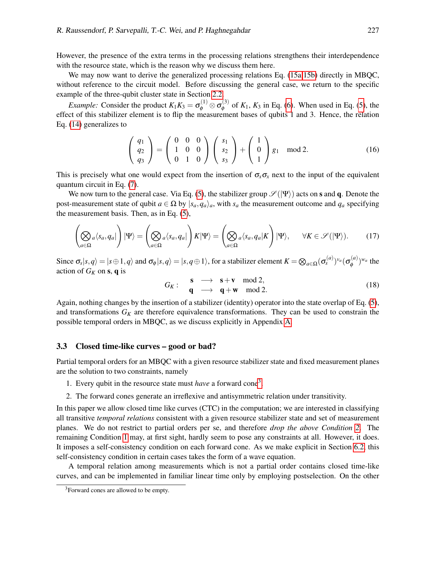However, the presence of the extra terms in the processing relations strengthens their interdependence with the resource state, which is the reason why we discuss them here.

We may now want to derive the generalized processing relations Eq. [\(15a](#page-7-1)[,15b\)](#page-7-2) directly in MBQC, without reference to the circuit model. Before discussing the general case, we return to the specific example of the three-qubit cluster state in Section [2.2.](#page-2-2)

*Example:* Consider the product  $K_1K_3 = \sigma_{\phi}^{(1)} \otimes \sigma_{\phi}^{(3)}$  $\phi_{\phi}^{(5)}$  $\phi_{\phi}^{(5)}$  $\phi_{\phi}^{(5)}$  of  $K_1$ ,  $K_3$  in Eq. [\(6\)](#page-3-3). When used in Eq. (5), the effect of this stabilizer element is to flip the measurement bases of qubits 1 and 3. Hence, the relation Eq. [\(14\)](#page-5-1) generalizes to

<span id="page-8-5"></span>
$$
\begin{pmatrix} q_1 \\ q_2 \\ q_3 \end{pmatrix} = \begin{pmatrix} 0 & 0 & 0 \\ 1 & 0 & 0 \\ 0 & 1 & 0 \end{pmatrix} \begin{pmatrix} s_1 \\ s_2 \\ s_3 \end{pmatrix} + \begin{pmatrix} 1 \\ 0 \\ 1 \end{pmatrix} g_1 \mod 2.
$$
 (16)

This is precisely what one would expect from the insertion of  $\sigma_x \sigma_x$  next to the input of the equivalent quantum circuit in Eq. [\(7\)](#page-3-2).

We now turn to the general case. Via Eq. [\(5\)](#page-3-1), the stabilizer group  $\mathscr{S}(|\Psi\rangle)$  acts on s and q. Denote the post-measurement state of qubit  $a \in \Omega$  by  $|s_a, q_a\rangle_a$ , with  $s_a$  the measurement outcome and  $q_a$  specifying the measurement basis. Then, as in Eq. [\(5\)](#page-3-1),

$$
\left(\bigotimes_{a\in\Omega}a\langle s_a,q_a|\right)|\Psi\rangle=\left(\bigotimes_{a\in\Omega}a\langle s_a,q_a|\right)K|\Psi\rangle=\left(\bigotimes_{a\in\Omega}a\langle s_a,q_a|K\right)|\Psi\rangle,\qquad\forall K\in\mathscr{S}(|\Psi\rangle). \tag{17}
$$

Since  $\sigma_s | s, q \rangle = | s \oplus 1, q \rangle$  and  $\sigma_{\phi} | s, q \rangle = | s, q \oplus 1 \rangle$ , for a stabilizer element  $K = \bigotimes_{a \in \Omega} (\sigma_s^{(a)})^{v_a} (\sigma_{\phi}^{(a)})^{v_a}$  $(\phi^{(a)})^{w_a}$  the action of  $G_K$  on **s**, **q** is

<span id="page-8-4"></span><span id="page-8-3"></span>
$$
G_K: \begin{array}{l} \mathbf{s} \longrightarrow \mathbf{s} + \mathbf{v} \mod 2, \\ \mathbf{q} \longrightarrow \mathbf{q} + \mathbf{w} \mod 2. \end{array} \tag{18}
$$

Again, nothing changes by the insertion of a stabilizer (identity) operator into the state overlap of Eq. [\(5\)](#page-3-1), and transformations  $G_K$  are therefore equivalence transformations. They can be used to constrain the possible temporal orders in MBQC, as we discuss explicitly in Appendix [A.](#page-28-16)

#### 3.3 Closed time-like curves – good or bad?

Partial temporal orders for an MBQC with a given resource stabilizer state and fixed measurement planes are the solution to two constraints, namely

- <span id="page-8-2"></span>1. Every qubit in the resource state must *have* a forward cone[3](#page-8-0) .
- <span id="page-8-1"></span>2. The forward cones generate an irreflexive and antisymmetric relation under transitivity.

In this paper we allow closed time like curves (CTC) in the computation; we are interested in classifying all transitive *temporal relations* consistent with a given resource stabilizer state and set of measurement planes. We do not restrict to partial orders per se, and therefore *drop the above Condition [2](#page-8-1)*. The remaining Condition [1](#page-8-2) may, at first sight, hardly seem to pose any constraints at all. However, it does. It imposes a self-consistency condition on each forward cone. As we make explicit in Section [6.2,](#page-23-0) this self-consistency condition in certain cases takes the form of a wave equation.

A temporal relation among measurements which is not a partial order contains closed time-like curves, and can be implemented in familiar linear time only by employing postselection. On the other

<span id="page-8-0"></span><sup>&</sup>lt;sup>3</sup>Forward cones are allowed to be empty.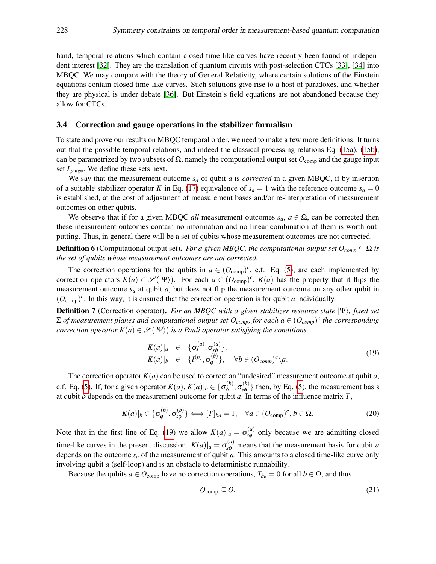hand, temporal relations which contain closed time-like curves have recently been found of independent interest [\[32\]](#page-28-14). They are the translation of quantum circuits with post-selection CTCs [\[33\]](#page-28-12), [\[34\]](#page-28-13) into MBQC. We may compare with the theory of General Relativity, where certain solutions of the Einstein equations contain closed time-like curves. Such solutions give rise to a host of paradoxes, and whether they are physical is under debate [\[36\]](#page-28-17). But Einstein's field equations are not abandoned because they allow for CTCs.

# 3.4 Correction and gauge operations in the stabilizer formalism

To state and prove our results on MBQC temporal order, we need to make a few more definitions. It turns out that the possible temporal relations, and indeed the classical processing relations Eq. [\(15a\)](#page-7-1), [\(15b\)](#page-7-2), can be parametrized by two subsets of  $\Omega$ , namely the computational output set  $O_{\text{comp}}$  and the gauge input set  $I_{\text{gauge}}$ . We define these sets next.

We say that the measurement outcome *s<sup>a</sup>* of qubit *a* is *corrected* in a given MBQC, if by insertion of a suitable stabilizer operator *K* in Eq. [\(17\)](#page-8-3) equivalence of  $s_a = 1$  with the reference outcome  $s_a = 0$ is established, at the cost of adjustment of measurement bases and/or re-interpretation of measurement outcomes on other qubits.

We observe that if for a given MBQC *all* measurement outcomes  $s_a$ ,  $a \in \Omega$ , can be corrected then these measurement outcomes contain no information and no linear combination of them is worth outputting. Thus, in general there will be a set of qubits whose measurement outcomes are not corrected.

**Definition 6** (Computational output set). *For a given MBQC, the computational output set*  $O_{comp} \subseteq \Omega$  *is the set of qubits whose measurement outcomes are not corrected.*

The correction operations for the qubits in  $a \in (O_{\text{comp}})^c$ , c.f. Eq. [\(5\)](#page-3-1), are each implemented by correction operators  $K(a) \in \mathscr{S}(\vert \Psi \rangle)$ . For each  $a \in (O_{\text{comp}})^c$ ,  $K(a)$  has the property that it flips the measurement outcome *s<sup>a</sup>* at qubit *a*, but does not flip the measurement outcome on any other qubit in  $(O_{\text{comp}})^c$ . In this way, it is ensured that the correction operation is for qubit *a* individually.

<span id="page-9-2"></span>**Definition 7** (Correction operator). *For an MBQC with a given stabilizer resource state*  $|\Psi\rangle$ *, fixed set*  $\Sigma$  *of measurement planes and computational output set*  $O_{comp}$ *, for each a*  $\in (O_{comp})^c$  the corresponding *correction operator*  $K(a) \in \mathcal{S}(\Psi)$  *is a Pauli operator satisfying the conditions* 

<span id="page-9-0"></span>
$$
K(a)|_a \in \{\sigma_s^{(a)}, \sigma_{s\phi}^{(a)}\},
$$
  
\n
$$
K(a)|_b \in \{I^{(b)}, \sigma_{\phi}^{(b)}\}, \quad \forall b \in (O_{comp})^c \setminus a.
$$
\n(19)

The correction operator  $K(a)$  can be used to correct an "undesired" measurement outcome at qubit *a*, c.f. Eq. [\(5\)](#page-3-1). If, for a given operator  $K(a)$ ,  $K(a)|_b \in {\{\sigma_{\phi}^{(b)}\}}$  $\overset{(b)}{\phi}, \overset{(b)}{\sigma_{\rm s\phi}}$  $\{S_{s\phi}^{(b)}\}$  then, by Eq. [\(5\)](#page-3-1), the measurement basis at qubit *b* depends on the measurement outcome for qubit *a*. In terms of the influence matrix *T*,

$$
K(a)|_b \in \{\sigma_{\phi}^{(b)}, \sigma_{s\phi}^{(b)}\} \Longleftrightarrow [T]_{ba} = 1, \quad \forall a \in (O_{\text{comp}})^c, b \in \Omega.
$$
 (20)

Note that in the first line of Eq. [\(19\)](#page-9-0) we allow  $K(a)|_a = \sigma_{\mathcal{S}\phi}^{(a)}$  $s_{\varphi}^{(u)}$  only because we are admitting closed time-like curves in the present discussion.  $K(a)|_a = \sigma_{s\phi}^{(a)}$  means that the measurement basis for qubit *a* depends on the outcome  $s_a$  of the measurement of qubit *a*. This amounts to a closed time-like curve only involving qubit *a* (self-loop) and is an obstacle to deterministic runnability.

Because the qubits  $a \in O_{\text{comp}}$  have no correction operations,  $T_{ba} = 0$  for all  $b \in \Omega$ , and thus

<span id="page-9-3"></span><span id="page-9-1"></span>
$$
O_{\text{comp}} \subseteq O. \tag{21}
$$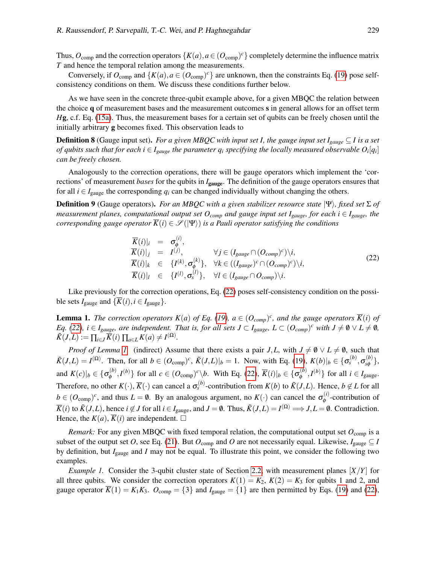Thus,  $O_{\text{comp}}$  and the correction operators  $\{K(a), a \in (O_{\text{comp}})^c\}$  completely determine the influence matrix *T* and hence the temporal relation among the measurements.

Conversely, if  $O_{\text{comp}}$  and  $\{K(a), a \in (O_{\text{comp}})^c\}$  are unknown, then the constraints Eq. [\(19\)](#page-9-0) pose selfconsistency conditions on them. We discuss these conditions further below.

As we have seen in the concrete three-qubit example above, for a given MBQC the relation between the choice q of measurement bases and the measurement outcomes s in general allows for an offset term *H*g, c.f. Eq. [\(15a\)](#page-7-1). Thus, the measurement bases for a certain set of qubits can be freely chosen until the initially arbitrary g becomes fixed. This observation leads to

**Definition 8** (Gauge input set). *For a given MBQC with input set I, the gauge input set I<sub>gauge</sub>*  $\subseteq$  *I is a set of qubits such that for each*  $i \in I_{gauge}$  *the parameter*  $q_i$  *specifying the locally measured observable*  $O_i[q_i]$ *can be freely chosen.*

Analogously to the correction operations, there will be gauge operators which implement the 'corrections' of measurement *bases* for the qubits in *I*gauge. The definition of the gauge operators ensures that for all  $i \in I_{\text{gauge}}$  the corresponding  $q_i$  can be changed individually without changing the others.

**Definition 9** (Gauge operators). *For an MBQC with a given stabilizer resource state*  $|\Psi\rangle$ *, fixed set*  $\Sigma$  *of measurement planes, computational output set*  $O_{comp}$  *and gauge input set*  $I_{gauge}$ *, for each*  $i \in I_{gauge}$ *, the corresponding gauge operator*  $\overline{K}(i) \in \mathscr{S}(\vert \Psi \rangle)$  *is a Pauli operator satisfying the conditions* 

<span id="page-10-0"></span>
$$
\overline{K}(i)|_{i} = \sigma_{\phi}^{(i)},
$$
\n
$$
\overline{K}(i)|_{j} = I^{(j)}, \qquad \forall j \in (I_{gauge} \cap (O_{comp})^{c}) \setminus i,
$$
\n
$$
\overline{K}(i)|_{k} \in \{I^{(k)}, \sigma_{\phi}^{(k)}\}, \quad \forall k \in ((I_{gauge})^{c} \cap (O_{comp})^{c}) \setminus i,
$$
\n
$$
\overline{K}(i)|_{l} \in \{I^{(l)}, \sigma_{s}^{(l)}\}, \quad \forall l \in (I_{gauge} \cap O_{comp}) \setminus i.
$$
\n(22)

Like previously for the correction operations, Eq. [\(22\)](#page-10-0) poses self-consistency condition on the possible sets  $I_{\text{gauge}}$  and  $\{\overline{K}(i), i \in I_{\text{gauge}}\}.$ 

<span id="page-10-1"></span>**Lemma 1.** The correction operators  $K(a)$  of Eq. [\(19\)](#page-9-0),  $a \in (O_{comp})^c$ , and the gauge operators  $\overline{K}(i)$  of *Eq.* [\(22\)](#page-10-0),  $i \in I_{gauge}$ , are independent. That is, for all sets  $J \subset I_{gauge}$ ,  $L \subset (O_{comp})^c$  with  $J \neq \emptyset \vee L \neq \emptyset$ ,  $\tilde{K}(J,L) := \prod_{i \in J} \overline{K}(i) \prod_{a \in L} K(a) \neq I^{(\Omega)}$ .

*Proof of Lemma [1.](#page-10-1)* (indirect) Assume that there exists a pair *J*,*L*, with  $J \neq \emptyset \lor L \neq \emptyset$ , such that  $\tilde{K}(J,L) = I^{(\Omega)}$ . Then, for all  $b \in (O_{\text{comp}})^c$ ,  $\tilde{K}(J,L)|_b = 1$ . Now, with Eq. [\(19\)](#page-9-0),  $K(b)|_b \in {\{\sigma_s^{(b)}, \sigma_{s\phi}^{(b)}\}}$ *s*φ }, and  $K(c)|_b \in {\{\sigma_{\phi}^{(b)}\}}$  $\{(\phi^{(b)}, I^{(b)})\}$  for all  $c \in (O_{\text{comp}})^c \backslash b$ . With Eq. [\(22\)](#page-10-0),  $\overline{K}(i)|_b \in {\{\sigma^{(b)}_{\phi}\}}$  $\{\phi^{(b)}, I^{(b)}\}$  for all  $i \in I_{\text{gauge}}$ . Therefore, no other  $K(\cdot)$ ,  $\overline{K}(\cdot)$  can cancel a  $\sigma_s^{(b)}$ -contribution from  $K(b)$  to  $\tilde{K}(J,L)$ . Hence,  $b \notin L$  for all  $b \in (O_{\text{comp}})^c$ , and thus  $L = \emptyset$ . By an analogous argument, no  $K(\cdot)$  can cancel the  $\sigma_{\emptyset}^{(i)}$  $\phi^{(l)}$ -contribution of  $\overline{K}(i)$  to  $\tilde{K}(J,L)$ , hence  $i \notin J$  for all  $i \in I_{\text{gauge}}$ , and  $J = \emptyset$ . Thus,  $\tilde{K}(J,L) = I^{(\Omega)} \Longrightarrow J, L = \emptyset$ . Contradiction. Hence, the  $K(a)$ ,  $\overline{K}(i)$  are independent.  $\square$ 

*Remark:* For any given MBQC with fixed temporal relation, the computational output set *O*comp is a subset of the output set *O*, see Eq. [\(21\)](#page-9-1). But  $O_{\text{comp}}$  and *O* are not necessarily equal. Likewise,  $I_{\text{gauge}} \subseteq I$ by definition, but *I*gauge and *I* may not be equal. To illustrate this point, we consider the following two examples.

*Example 1.* Consider the 3-qubit cluster state of Section [2.2,](#page-2-2) with measurement planes [*X*/*Y*] for all three qubits. We consider the correction operators  $K(1) = K_2$ ,  $K(2) = K_3$  for qubits 1 and 2, and gauge operator  $\overline{K}(1) = K_1 K_3$ .  $O_{\text{comp}} = \{3\}$  and  $I_{\text{gauge}} = \{1\}$  are then permitted by Eqs. [\(19\)](#page-9-0) and [\(22\)](#page-10-0),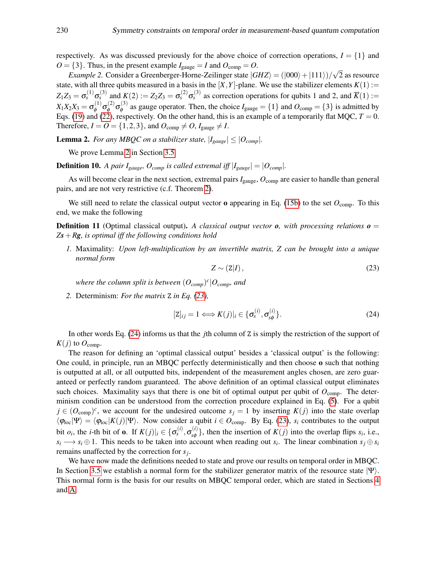respectively. As was discussed previously for the above choice of correction operations,  $I = \{1\}$  and  $O = \{3\}$ . Thus, in the present example  $I_{\text{gauge}} = I$  and  $O_{\text{comp}} = O$ . √

*Example 2.* Consider a Greenberger-Horne-Zeilinger state  $|GHZ\rangle = (|000\rangle + |111\rangle)/$ 2 as resource state, with all three qubits measured in a basis in the  $[X, Y]$ -plane. We use the stabilizer elements  $K(1) :=$  $Z_1 Z_3 = \sigma_s^{(1)} \sigma_s^{(3)}$  and  $K(2) := Z_2 Z_3 = \sigma_s^{(2)} \sigma_s^{(3)}$  as correction operations for qubits 1 and 2, and  $\overline{K}(1) :=$  $X_1 X_2 X_3 = \sigma_0^{(1)}$  $\sigma^{(1)}_\phi \sigma^{(2)}_\phi$  $\sigma^{(2)}_{\phi} \sigma^{(3)}_{\phi}$  $\phi_{\phi}^{(3)}$  as gauge operator. Then, the choice  $I_{\text{gauge}} = \{1\}$  and  $O_{\text{comp}} = \{3\}$  is admitted by Eqs. [\(19\)](#page-9-0) and [\(22\)](#page-10-0), respectively. On the other hand, this is an example of a temporarily flat MQC,  $T = 0$ . Therefore,  $I = O = \{1, 2, 3\}$ , and  $O_{\text{comp}} \neq O$ ,  $I_{\text{gauge}} \neq I$ .

<span id="page-11-0"></span>**Lemma 2.** For any MBQC on a stabilizer state,  $|I_{\text{gauge}}| \leq |O_{\text{comp}}|$ .

We prove Lemma [2](#page-11-0) in Section [3.5.](#page-12-0)

**Definition 10.** *A pair I<sub>gauge</sub>*,  $O_{comp}$  *is called extremal iff*  $|I_{gauge}| = |O_{comp}|$ *.* 

As will become clear in the next section, extremal pairs  $I_{\text{gauge}}$ ,  $O_{\text{comp}}$  are easier to handle than general pairs, and are not very restrictive (c.f. Theorem [2\)](#page-14-0).

We still need to relate the classical output vector  $\bf{o}$  appearing in Eq. [\(15b\)](#page-7-2) to the set  $O_{\rm comp}$ . To this end, we make the following

Definition 11 (Optimal classical output). *A classical output vector o, with processing relations o* = *Zs*+*Rg, is optimal iff the following conditions hold*

*1.* Maximality: *Upon left-multiplication by an invertible matrix, Z can be brought into a unique normal form*

<span id="page-11-2"></span>
$$
Z \sim (Z|I), \tag{23}
$$

<span id="page-11-1"></span>where the column split is between  $(O_{comp})^c|O_{comp}$ , and

*2.* Determinism: *For the matrix* Z *in Eq. [\(23\)](#page-11-1),*

$$
[Z]_{ij} = 1 \Longleftrightarrow K(j)|_i \in \{\sigma_s^{(i)}, \sigma_{s\phi}^{(i)}\}.
$$
 (24)

In other words Eq. [\(24\)](#page-11-2) informs us that the *j*th column of Z is simply the restriction of the support of  $K(j)$  to  $O_{\text{comp}}$ .

The reason for defining an 'optimal classical output' besides a 'classical output' is the following: One could, in principle, run an MBQC perfectly deterministically and then choose o such that nothing is outputted at all, or all outputted bits, independent of the measurement angles chosen, are zero guaranteed or perfectly random guaranteed. The above definition of an optimal classical output eliminates such choices. Maximality says that there is one bit of optimal output per qubit of  $O_{\text{comp}}$ . The determinism condition can be understood from the correction procedure explained in Eq. [\(5\)](#page-3-1). For a qubit  $j \in (O_{\text{comp}})^c$ , we account for the undesired outcome  $s_j = 1$  by inserting  $K(j)$  into the state overlap  $\langle \varphi_{\text{loc}} | \Psi \rangle = \langle \varphi_{\text{loc}} | K(j) | \Psi \rangle$ . Now consider a qubit  $i \in O_{\text{comp}}$ . By Eq. [\(23\)](#page-11-1),  $s_i$  contributes to the output bit  $o_i$ , the *i*-th bit of **o**. If  $K(j)|_i \in {\{\sigma_s^{(i)}, \sigma_{s\phi}^{(i)}\}}$  $S_{s\phi}^{(l)}$ , then the insertion of  $K(j)$  into the overlap flips  $s_i$ , i.e.,  $s_i \rightarrow s_i \oplus 1$ . This needs to be taken into account when reading out  $s_i$ . The linear combination  $s_j \oplus s_i$ remains unaffected by the correction for *s<sup>j</sup>* .

We have now made the definitions needed to state and prove our results on temporal order in MBQC. In Section [3.5](#page-12-0) we establish a normal form for the stabilizer generator matrix of the resource state  $|\Psi\rangle$ . This normal form is the basis for our results on MBQC temporal order, which are stated in Sections [4](#page-13-0) and [A.](#page-28-16)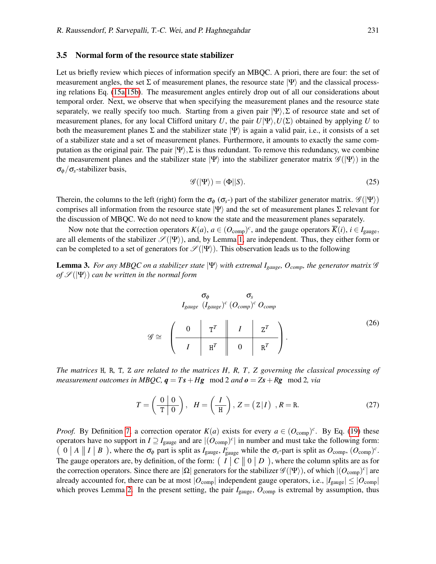# <span id="page-12-0"></span>3.5 Normal form of the resource state stabilizer

Let us briefly review which pieces of information specify an MBQC. A priori, there are four: the set of measurement angles, the set  $\Sigma$  of measurement planes, the resource state  $|\Psi\rangle$  and the classical processing relations Eq. [\(15a](#page-7-1)[,15b\)](#page-7-2). The measurement angles entirely drop out of all our considerations about temporal order. Next, we observe that when specifying the measurement planes and the resource state separately, we really specify too much. Starting from a given pair  $|\Psi\rangle$ , Σ of resource state and set of measurement planes, for any local Clifford unitary *U*, the pair  $U|\Psi\rangle$ ,  $U(\Sigma)$  obtained by applying *U* to both the measurement planes  $\Sigma$  and the stabilizer state  $|\Psi\rangle$  is again a valid pair, i.e., it consists of a set of a stabilizer state and a set of measurement planes. Furthermore, it amounts to exactly the same computation as the original pair. The pair  $|\Psi\rangle$ ,  $\Sigma$  is thus redundant. To remove this redundancy, we combine the measurement planes and the stabilizer state  $|\Psi\rangle$  into the stabilizer generator matrix  $\mathscr{G}(|\Psi\rangle)$  in the  $\sigma_{\phi}/\sigma_{s}$ -stabilizer basis,

$$
\mathscr{G}(|\Psi\rangle) = (\Phi||S). \tag{25}
$$

Therein, the columns to the left (right) form the  $\sigma_{\phi}$  ( $\sigma_{s}$ -) part of the stabilizer generator matrix.  $\mathscr{G}(|\Psi\rangle)$ comprises all information from the resource state  $|\Psi\rangle$  and the set of measurement planes Σ relevant for the discussion of MBQC. We do not need to know the state and the measurement planes separately.

Now note that the correction operators  $K(a)$ ,  $a \in (O_{\text{comp}})^c$ , and the gauge operators  $\overline{K}(i)$ ,  $i \in I_{\text{gauge}}$ , are all elements of the stabilizer  $\mathscr{S}(|\Psi\rangle)$ , and, by Lemma [1,](#page-10-1) are independent. Thus, they either form or can be completed to a set of generators for  $\mathscr{S}(|\Psi\rangle)$ . This observation leads us to the following

<span id="page-12-2"></span>**Lemma 3.** For any MBQC on a stabilizer state  $|\Psi\rangle$  with extremal I<sub>gauge</sub>, O<sub>comp</sub>, the generator matrix  $\mathscr G$ *of*  $\mathscr{S}(|\Psi\rangle)$  *can be written in the normal form* 

<span id="page-12-1"></span>
$$
G_{\phi} \qquad \sigma_{s}
$$
\n
$$
I_{gauge} (I_{gauge})^c (O_{comp})^c O_{comp}
$$
\n
$$
\mathscr{G} \cong \left( \begin{array}{c|c} 0 & \text{T}^T & I & \text{Z}^T \\ \hline I & \text{H}^T & 0 & \text{R}^T \end{array} \right). \tag{26}
$$

*The matrices* H*,* R*,* T*,* Z *are related to the matrices H, R, T , Z governing the classical processing of measurement outcomes in MBQC,*  $q = Ts + Hg \mod 2$  *and*  $q = Zs + Rg \mod 2$ , *via* 

<span id="page-12-3"></span>
$$
T = \left(\begin{array}{c|c} 0 & 0 \\ \hline T & 0 \end{array}\right), \quad H = \left(\begin{array}{c} I \\ \hline H \end{array}\right), \quad Z = \left(\begin{array}{c|c} Z & I \end{array}\right), \quad R = \text{R}.
$$

*Proof.* By Definition [7,](#page-9-2) a correction operator  $K(a)$  exists for every  $a \in (O_{\text{comp}})^c$ . By Eq. [\(19\)](#page-9-0) these operators have no support in  $I \supseteq I_{\text{gauge}}$  and are  $|(O_{\text{comp}})^c|$  in number and must take the following form:  $(0 \mid A \mid I \mid B)$ , where the  $\sigma_{\phi}$  part is split as  $I_{\text{gauge}}$ ,  $I_{\text{gauge}}^c$  while the  $\sigma_{s}$ -part is split as  $O_{\text{comp}}$ ,  $(O_{\text{comp}})^c$ . The gauge operators are, by definition, of the form:  $\left( I | C \| 0 | D \right)$ , where the column splits are as for the correction operators. Since there are  $|\Omega|$  generators for the stabilizer  $\mathscr{G}(|\Psi\rangle)$ , of which  $|(O_{\text{comp}})^c|$  are already accounted for, there can be at most  $|O_{\text{comp}}|$  independent gauge operators, i.e.,  $|I_{\text{gauge}}| \leq |O_{\text{comp}}|$ which proves Lemma [2.](#page-11-0) In the present setting, the pair *I*gauge, *O*comp is extremal by assumption, thus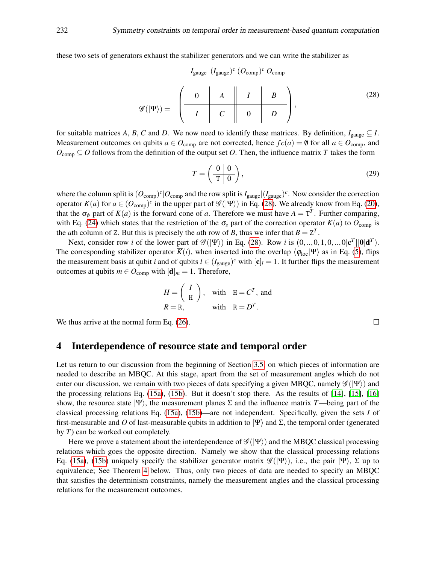these two sets of generators exhaust the stabilizer generators and we can write the stabilizer as

$$
I_{\text{gauge}} (I_{\text{gauge}})^c (O_{\text{comp}})^c O_{\text{comp}}
$$

$$
\mathscr{G}(|\Psi\rangle) = \left(\begin{array}{c|c} 0 & A & I & B \\ \hline I & C & 0 & D \end{array}\right), \tag{28}
$$

for suitable matrices *A*, *B*, *C* and *D*. We now need to identify these matrices. By definition,  $I_{\text{gauge}} \subseteq I$ . Measurement outcomes on qubits  $a \in O_{\text{comp}}$  are not corrected, hence  $fc(a) = \emptyset$  for all  $a \in O_{\text{comp}}$ , and  $O_{\text{comp}} \subseteq O$  follows from the definition of the output set *O*. Then, the influence matrix *T* takes the form

<span id="page-13-1"></span>
$$
T = \left(\begin{array}{c|c} 0 & 0 \\ \hline T & 0 \end{array}\right),\tag{29}
$$

where the column split is  $(O_{\text{comp}})^c | O_{\text{comp}}$  and the row split is  $I_{\text{gauge}} | (I_{\text{gauge}})^c$ . Now consider the correction operator  $K(a)$  for  $a \in (O_{\text{comp}})^c$  in the upper part of  $\mathscr{G}(\vert \Psi \rangle)$  in Eq. [\(28\)](#page-13-1). We already know from Eq. [\(20\)](#page-9-3), that the  $\sigma_{\phi}$  part of  $K(a)$  is the forward cone of *a*. Therefore we must have  $A = T^T$ . Further comparing, with Eq. [\(24\)](#page-11-2) which states that the restriction of the  $\sigma_s$  part of the correction operator  $K(a)$  to  $O_{\text{comp}}$  is the *a*th column of Z. But this is precisely the *a*th row of *B*, thus we infer that  $B = Z<sup>T</sup>$ .

Next, consider row *i* of the lower part of  $\mathscr{G}(|\Psi\rangle)$  in Eq. [\(28\)](#page-13-1). Row *i* is  $(0,..,0,1,0,..,0|c^T||0|d^T)$ . The corresponding stabilizer operator  $\overline{K}(i)$ , when inserted into the overlap  $\langle \varphi_{\text{loc}} | \Psi \rangle$  as in Eq. [\(5\)](#page-3-1), flips the measurement basis at qubit *i* and of qubits  $l \in (I_{\text{gauge}})^c$  with  $[\mathbf{c}]_l = 1$ . It further flips the measurement outcomes at qubits  $m \in O_{\text{comp}}$  with  $[\mathbf{d}]_m = 1$ . Therefore,

$$
H = \left(\frac{I}{H}\right), \quad \text{with} \quad H = C^T, \text{ and}
$$
  

$$
R = R, \qquad \text{with} \quad R = D^T.
$$

We thus arrive at the normal form Eq.  $(26)$ .

# <span id="page-13-0"></span>4 Interdependence of resource state and temporal order

Let us return to our discussion from the beginning of Section [3.5,](#page-12-0) on which pieces of information are needed to describe an MBQC. At this stage, apart from the set of measurement angles which do not enter our discussion, we remain with two pieces of data specifying a given MBQC, namely  $\mathscr{G}(\vert\Psi\rangle)$  and the processing relations Eq.  $(15a)$ ,  $(15b)$ . But it doesn't stop there. As the results of  $[14]$ ,  $[15]$ ,  $[16]$ show, the resource state  $|\Psi\rangle$ , the measurement planes  $\Sigma$  and the influence matrix *T*—being part of the classical processing relations Eq. [\(15a\)](#page-7-1), [\(15b\)](#page-7-2)—are not independent. Specifically, given the sets *I* of first-measurable and O of last-measurable qubits in addition to  $|\Psi\rangle$  and  $\Sigma$ , the temporal order (generated by *T*) can be worked out completely.

Here we prove a statement about the interdependence of  $\mathscr{G}(|\Psi\rangle)$  and the MBQC classical processing relations which goes the opposite direction. Namely we show that the classical processing relations Eq. [\(15a\)](#page-7-1), [\(15b\)](#page-7-2) uniquely specify the stabilizer generator matrix  $\mathscr{G}(|\Psi\rangle)$ , i.e., the pair  $|\Psi\rangle$ ,  $\Sigma$  up to equivalence; See Theorem [4](#page-14-1) below. Thus, only two pieces of data are needed to specify an MBQC that satisfies the determinism constraints, namely the measurement angles and the classical processing relations for the measurement outcomes.

<span id="page-13-2"></span> $\Box$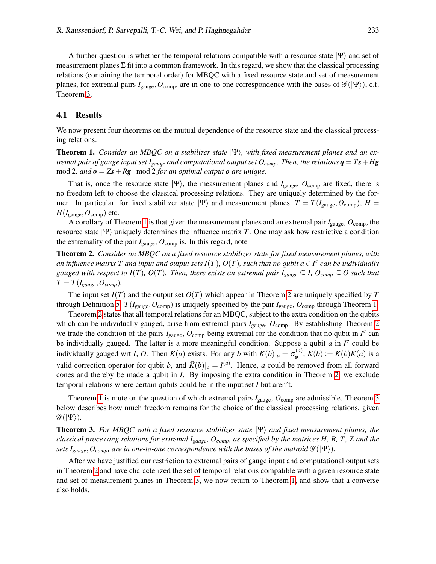A further question is whether the temporal relations compatible with a resource state  $|\Psi\rangle$  and set of measurement planes  $\Sigma$  fit into a common framework. In this regard, we show that the classical processing relations (containing the temporal order) for MBQC with a fixed resource state and set of measurement planes, for extremal pairs  $I_{\text{gauge}}$ ,  $O_{\text{comp}}$ , are in one-to-one correspondence with the bases of  $\mathscr{G}(|\Psi\rangle)$ , c.f. Theorem [3.](#page-14-2)

### 4.1 Results

We now present four theorems on the mutual dependence of the resource state and the classical processing relations.

<span id="page-14-3"></span>**Theorem 1.** Consider an MBQC on a stabilizer state  $|\Psi\rangle$ , with fixed measurement planes and an ex*tremal pair of gauge input set I<sub>gauge</sub> and computational output set*  $O_{comp}$ *<i>. Then, the relations*  $q = Ts + Hg$ mod 2*, and*  $\mathbf{o} = \mathbf{Z}\mathbf{s} + \mathbf{R}\mathbf{g}$  mod 2 *for an optimal output*  $\mathbf{o}$  *are unique.* 

That is, once the resource state  $|\Psi\rangle$ , the measurement planes and  $I_{\text{gauge}}$ ,  $O_{\text{comp}}$  are fixed, there is no freedom left to choose the classical processing relations. They are uniquely determined by the former. In particular, for fixed stabilizer state  $|\Psi\rangle$  and measurement planes,  $T = T(I_{\text{gauge}}, O_{\text{comp}}), H =$  $H(I_{\text{gauge}}, O_{\text{comp}})$  etc.

A corollary of Theorem [1](#page-14-3) is that given the measurement planes and an extremal pair *I*gauge, *O*comp, the resource state  $|\Psi\rangle$  uniquely determines the influence matrix *T*. One may ask how restrictive a condition the extremality of the pair  $I_{\text{gauge}}$ ,  $O_{\text{comp}}$  is. In this regard, note

<span id="page-14-0"></span>Theorem 2. *Consider an MBQC on a fixed resource stabilizer state for fixed measurement planes, with an influence matrix T and input and output sets*  $I(T)$ *,*  $O(T)$ *, such that no qubit*  $a \in I^c$  *can be individually gauged with respect to I(T), O(T). Then, there exists an extremal pair*  $I_{gauge} \subseteq I$ *,*  $O_{comp} \subseteq O$  *such that*  $T = T(I_{gauge}, O_{comp}).$ 

The input set  $I(T)$  and the output set  $O(T)$  which appear in Theorem [2](#page-14-0) are uniquely specified by T through Definition [5.](#page-5-2)  $T(I_{\text{gauge}}, O_{\text{comp}})$  is uniquely specified by the pair  $I_{\text{gauge}}, O_{\text{comp}}$  through Theorem [1.](#page-14-3)

Theorem [2](#page-14-0) states that all temporal relations for an MBQC, subject to the extra condition on the qubits which can be individually gauged, arise from extremal pairs  $I_{\text{gauge}}$ ,  $O_{\text{comp}}$ . By establishing Theorem [2](#page-14-0) we trade the condition of the pairs  $I_{\text{gauge}}$ ,  $O_{\text{comp}}$  being extremal for the condition that no qubit in  $I^c$  can be individually gauged. The latter is a more meaningful condition. Suppose a qubit *a* in *I c* could be individually gauged wrt *I*, *O*. Then  $\overline{K}(a)$  exists. For any *b* with  $K(b)|_a = \sigma_{\phi}^{(a)}$  $\tilde{\mathcal{R}}^{(a)}$ ,  $\tilde{K}(b) := K(b)\overline{K}(a)$  is a valid correction operator for qubit *b*, and  $\tilde{K}(b)|_a = I^{(a)}$ . Hence, *a* could be removed from all forward cones and thereby be made a qubit in *I*. By imposing the extra condition in Theorem [2,](#page-14-0) we exclude temporal relations where certain qubits could be in the input set *I* but aren't.

Theorem [1](#page-14-3) is mute on the question of which extremal pairs  $I_{\text{gauge}}$ ,  $O_{\text{comp}}$  are admissible. Theorem [3](#page-14-2) below describes how much freedom remains for the choice of the classical processing relations, given  $\mathscr{G}(|\Psi\rangle).$ 

<span id="page-14-2"></span>**Theorem 3.** For MBQC with a fixed resource stabilizer state  $|\Psi\rangle$  and fixed measurement planes, the *classical processing relations for extremal Igauge, Ocomp, as specified by the matrices H, R, T , Z and the sets*  $I_{\text{gauge}}, O_{\text{comp}}$ , are in one-to-one correspondence with the bases of the matroid  $\mathscr{G}(\Psi)$ .

<span id="page-14-1"></span>After we have justified our restriction to extremal pairs of gauge input and computational output sets in Theorem [2](#page-14-0) and have characterized the set of temporal relations compatible with a given resource state and set of measurement planes in Theorem [3,](#page-14-2) we now return to Theorem [1,](#page-14-3) and show that a converse also holds.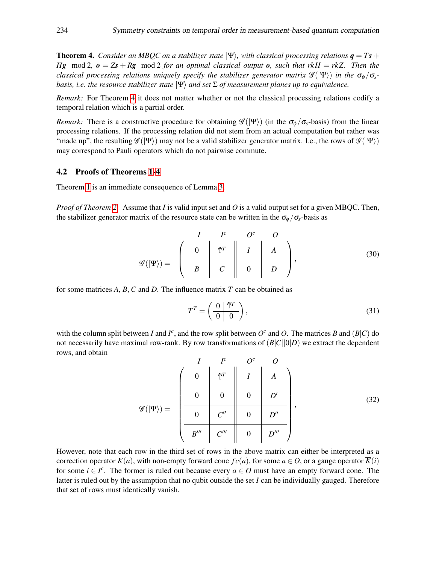**Theorem 4.** *Consider an MBOC on a stabilizer state*  $|\Psi\rangle$ *, with classical processing relations*  $q = Ts +$ *Hg* mod 2,  $o = Zs + Rg$  mod 2 *for an optimal classical output o*, *such that rkH* = *rkZ.* Then the *classical processing relations uniquely specify the stabilizer generator matrix*  $\mathscr{G}(|\Psi\rangle)$  *in the*  $\sigma_{\phi}/\sigma_{s}$ *basis, i.e. the resource stabilizer state*  $|\Psi\rangle$  *and set*  $\Sigma$  *of measurement planes up to equivalence.* 

*Remark:* For Theorem [4](#page-14-1) it does not matter whether or not the classical processing relations codify a temporal relation which is a partial order.

*Remark:* There is a constructive procedure for obtaining  $\mathscr{G}(\Psi)$  (in the  $\sigma_{\phi}/\sigma_{s}$ -basis) from the linear processing relations. If the processing relation did not stem from an actual computation but rather was "made up", the resulting  $\mathscr{G}(|\Psi\rangle)$  may not be a valid stabilizer generator matrix. I.e., the rows of  $\mathscr{G}(|\Psi\rangle)$ may correspond to Pauli operators which do not pairwise commute.

# 4.2 Proofs of Theorems [1-](#page-14-3)[4](#page-14-1)

Theorem [1](#page-14-3) is an immediate consequence of Lemma [3.](#page-12-2)

*Proof of Theorem [2.](#page-14-0)* Assume that *I* is valid input set and *O* is a valid output set for a given MBQC. Then, the stabilizer generator matrix of the resource state can be written in the  $\sigma_{\phi}/\sigma_{s}$ -basis as

$$
\mathscr{G}(|\Psi\rangle) = \left(\begin{array}{c|c|c} I & I^c & O^c & O \\ \hline 0 & \tilde{T}^T & I & A \\ \hline B & C & 0 & D \end{array}\right), \tag{30}
$$

for some matrices *A*, *B*, *C* and *D*. The influence matrix *T* can be obtained as

<span id="page-15-1"></span>
$$
T^T = \left(\frac{0}{0} \left| \frac{\tilde{T}^T}{0}\right.\right),\tag{31}
$$

with the column split between *I* and  $I^c$ , and the row split between  $O^c$  and  $O$ . The matrices *B* and  $(B|C)$  do not necessarily have maximal row-rank. By row transformations of  $(B|C||0|D)$  we extract the dependent rows, and obtain

<span id="page-15-0"></span>
$$
\mathcal{G}(|\Psi\rangle) = \begin{pmatrix} I & I^c & O^c & O \\ 0 & \tilde{T}^T & I & A \\ \hline 0 & 0 & 0 & D' \\ 0 & C'' & 0 & D'' \\ \hline B''' & C''' & 0 & D''' \end{pmatrix},
$$
(32)

However, note that each row in the third set of rows in the above matrix can either be interpreted as a correction operator  $K(a)$ , with non-empty forward cone  $fc(a)$ , for some  $a \in O$ , or a gauge operator  $K(i)$ for some  $i \in I^c$ . The former is ruled out because every  $a \in O$  must have an empty forward cone. The latter is ruled out by the assumption that no qubit outside the set *I* can be individually gauged. Therefore that set of rows must identically vanish.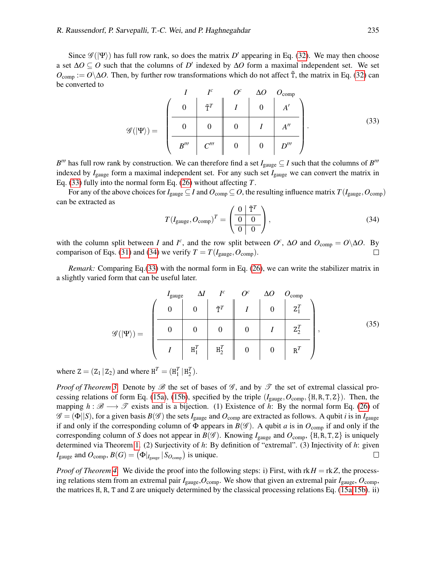Since  $\mathscr{G}(\vert \Psi \rangle)$  has full row rank, so does the matrix *D'* appearing in Eq. [\(32\)](#page-15-0). We may then choose a set  $\Delta O \subseteq O$  such that the columns of  $D'$  indexed by  $\Delta O$  form a maximal independent set. We set  $O_{\text{conn}} := O \backslash \Delta O$ . Then, by further row transformations which do not affect T in the matrix in Eq. [\(32\)](#page-15-0) can be converted to

<span id="page-16-0"></span>
$$
\mathscr{G}(|\Psi\rangle) = \begin{pmatrix} I & I^c & O^c & \Delta O & O_{\text{comp}} \\ 0 & \tilde{T}^T & I & 0 & A' \\ \hline 0 & 0 & 0 & I & A'' \\ B''' & C''' & 0 & 0 & D'' \end{pmatrix} .
$$
 (33)

*B*<sup>*m*</sup> has full row rank by construction. We can therefore find a set  $I_{\text{gauge}} \subseteq I$  such that the columns of *B*<sup>*m*</sup> indexed by *I*gauge form a maximal independent set. For any such set *I*gauge we can convert the matrix in Eq. [\(33\)](#page-16-0) fully into the normal form Eq. [\(26\)](#page-12-1) without affecting *T*.

For any of the above choices for  $I_{\text{gauge}} \subseteq I$  and  $O_{\text{comp}} \subseteq O$ , the resulting influence matrix  $T(I_{\text{gauge}}, O_{\text{comp}})$ can be extracted as  $\sim 1 \times T$ 

<span id="page-16-2"></span><span id="page-16-1"></span>
$$
T(I_{\text{gauge}}, O_{\text{comp}})^{T} = \left(\begin{array}{c|c} 0 & \tilde{T}^{T} \\ \hline 0 & 0 \\ \hline 0 & 0 \end{array}\right), \tag{34}
$$

with the column split between *I* and *I<sup>c</sup>*, and the row split between  $O^c$ ,  $\Delta O$  and  $O_{\text{comp}} = O \backslash \Delta O$ . By comparison of Eqs. [\(31\)](#page-15-1) and [\(34\)](#page-16-1) we verify  $T = T(I_{\text{gauge}}, O_{\text{comp}})$ .  $\Box$ 

*Remark:* Comparing Eq.[\(33\)](#page-16-0) with the normal form in Eq. [\(26\)](#page-12-1), we can write the stabilizer matrix in a slightly varied form that can be useful later.

$$
\mathscr{G}(|\Psi\rangle) = \begin{pmatrix} I_{\text{gauge}} & \Delta I & I^c & O^c & \Delta O & O_{\text{comp}} \\ 0 & 0 & \tilde{\tau}^T & I & 0 & Z_1^T \\ 0 & 0 & 0 & 0 & I & Z_2^T \\ \hline I & H_1^T & H_2^T & 0 & 0 & R^T \end{pmatrix},
$$
(35)

where  $Z = (Z_1 | Z_2)$  and where  $H^T = (H_1^T | H_2^T)$ .

*Proof of Theorem [3.](#page-14-2)* Denote by  $\mathscr B$  the set of bases of  $\mathscr G$ , and by  $\mathscr T$  the set of extremal classical pro-cessing relations of form Eq. [\(15a\)](#page-7-1), [\(15b\)](#page-7-2), specified by the triple  $(I_{\text{gauge}}, O_{\text{comp}}, \{H, R, T, Z\})$ . Then, the mapping  $h : \mathscr{B} \longrightarrow \mathscr{T}$  exists and is a bijection. (1) Existence of *h*: By the normal form Eq. [\(26\)](#page-12-1) of  $\mathscr{G} = (\Phi||S)$ , for a given basis  $B(\mathscr{G})$  the sets  $I_{gauge}$  and  $O_{comp}$  are extracted as follows. A qubit *i* is in  $I_{gauge}$ if and only if the corresponding column of  $\Phi$  appears in  $B(\mathscr{G})$ . A qubit *a* is in  $O_{\text{comp}}$  if and only if the corresponding column of *S* does not appear in  $B(\mathscr{G})$ . Knowing  $I_{gauge}$  and  $O_{comp}$ , {H,R,T,Z} is uniquely determined via Theorem [1.](#page-14-3) (2) Surjectivity of *h*: By definition of "extremal". (3) Injectivity of *h*: given  $I_{\text{gauge}}$  and  $O_{\text{comp}}$ ,  $B(G) = \left(\Phi|_{I_{\text{gauge}}}\,|\,S_{O_{\text{comp}}}\right)$  is unique.  $\Box$ 

*Proof of Theorem [4.](#page-14-1)* We divide the proof into the following steps: i) First, with  $rk H = rk Z$ , the processing relations stem from an extremal pair *I*gauge,*O*comp. We show that given an extremal pair *I*gauge, *O*comp, the matrices H, R, T and Z are uniquely determined by the classical processing relations Eq. [\(15a](#page-7-1)[,15b\)](#page-7-2). ii)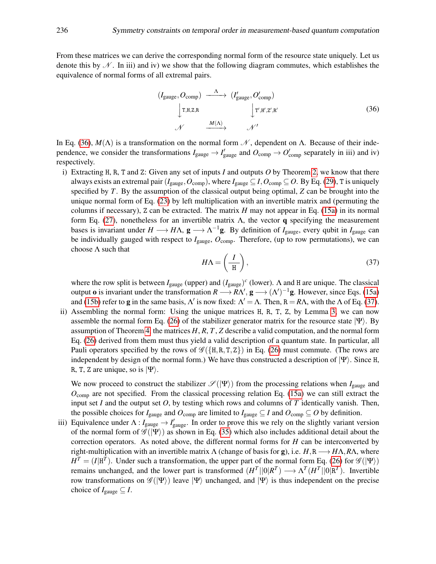From these matrices we can derive the corresponding normal form of the resource state uniquely. Let us denote this by  $\mathcal N$ . In iii) and iv) we show that the following diagram commutes, which establishes the equivalence of normal forms of all extremal pairs.

<span id="page-17-0"></span>
$$
(I_{gauge}, O_{comp}) \xrightarrow{\Lambda} (I'_{gauge}, O'_{comp})
$$
  
\n
$$
\downarrow \text{T,H,Z,R} \qquad \qquad \downarrow \text{T',H',Z',R'}
$$
  
\n
$$
\mathcal{N} \xrightarrow{\text{M}(\Lambda)} \mathcal{N'}
$$
\n(36)

In Eq. [\(36\)](#page-17-0),  $M(\Lambda)$  is a transformation on the normal form  $\mathcal N$ , dependent on  $\Lambda$ . Because of their independence, we consider the transformations  $I_{\text{gauge}} \to I'_{\text{gauge}}$  and  $O_{\text{comp}} \to O'_{\text{comp}}$  separately in iii) and iv) respectively.

i) Extracting H, R, T and Z: Given any set of inputs *I* and outputs *O* by Theorem [2,](#page-14-0) we know that there always exists an extremal pair ( $I_{\text{gauge}}, O_{\text{comp}}$ ), where  $I_{\text{gauge}} \subseteq I, O_{\text{comp}} \subseteq O$ . By Eq. [\(29\)](#page-13-2), T is uniquely specified by *T*. By the assumption of the classical output being optimal, *Z* can be brought into the unique normal form of Eq. [\(23\)](#page-11-1) by left multiplication with an invertible matrix and (permuting the columns if necessary), Z can be extracted. The matrix  $H$  may not appear in Eq. [\(15a\)](#page-7-1) in its normal form Eq. [\(27\)](#page-12-3), nonetheless for an invertible matrix Λ, the vector q specifying the measurement bases is invariant under  $H \longrightarrow H\Lambda$ ,  $g \longrightarrow \Lambda^{-1}g$ . By definition of  $I_{gauge}$ , every qubit in  $I_{gauge}$  can be individually gauged with respect to *I*gauge, *O*comp. Therefore, (up to row permutations), we can choose  $\Lambda$  such that

$$
H\Lambda = \left(\frac{I}{H}\right),\tag{37}
$$

<span id="page-17-1"></span>where the row split is between  $I_{\text{gauge}}$  (upper) and  $(I_{\text{gauge}})^c$  (lower). A and H are unique. The classical output **o** is invariant under the transformation  $R \to R\Lambda'$ ,  $g \to (\Lambda')^{-1}g$ . However, since Eqs. [\(15a\)](#page-7-1) and [\(15b\)](#page-7-2) refer to **g** in the same basis,  $\Lambda'$  is now fixed:  $\Lambda' = \Lambda$ . Then,  $R = R\Lambda$ , with the  $\Lambda$  of Eq. [\(37\)](#page-17-1).

ii) Assembling the normal form: Using the unique matrices H, R, T, Z, by Lemma [3,](#page-12-2) we can now assemble the normal form Eq. [\(26\)](#page-12-1) of the stabilizer generator matrix for the resource state  $|\Psi\rangle$ . By assumption of Theorem [4,](#page-14-1) the matrices *H*, *R*, *T*, *Z* describe a valid computation, and the normal form Eq. [\(26\)](#page-12-1) derived from them must thus yield a valid description of a quantum state. In particular, all Pauli operators specified by the rows of  $\mathscr{G}(\{H,R,T,Z\})$  in Eq. [\(26\)](#page-12-1) must commute. (The rows are independent by design of the normal form.) We have thus constructed a description of  $|\Psi\rangle$ . Since H, R, T, Z are unique, so is  $|\Psi\rangle$ .

We now proceed to construct the stabilizer  $\mathscr{S}(|\Psi\rangle)$  from the processing relations when *I*<sub>gauge</sub> and *O*comp are not specified. From the classical processing relation Eq. [\(15a\)](#page-7-1) we can still extract the input set *I* and the output set *O*, by testing which rows and columns of *T* identically vanish. Then, the possible choices for *I*<sub>gauge</sub> and  $O_{\text{comp}}$  are limited to *I*<sub>gauge</sub>  $\subseteq$  *I* and  $O_{\text{comp}} \subseteq O$  by definition.

iii) Equivalence under  $\Lambda: I_{\text{gauge}} \to I'_{\text{gauge}}$ . In order to prove this we rely on the slightly variant version of the normal form of  $\mathscr{G}(|\Psi\rangle)$  as shown in Eq. [\(35\)](#page-16-2) which also includes additional detail about the correction operators. As noted above, the different normal forms for *H* can be interconverted by right-multiplication with an invertible matrix  $\Lambda$  (change of basis for **g**), i.e.  $H, R \rightarrow H\Lambda, R\Lambda$ , where  $H<sup>T</sup> = (I | H<sup>T</sup>)$ . Under such a transformation, the upper part of the normal form Eq. [\(26\)](#page-12-1) for  $\mathscr{G}(| \Psi \rangle)$ remains unchanged, and the lower part is transformed  $(H^T || 0 | R^T) \longrightarrow \Lambda^T (H^T || 0 | R^T)$ . Invertible row transformations on  $\mathscr{G}(\Psi)$  leave  $|\Psi\rangle$  unchanged, and  $|\Psi\rangle$  is thus independent on the precise choice of  $I_{\text{gauge}} \subseteq I$ .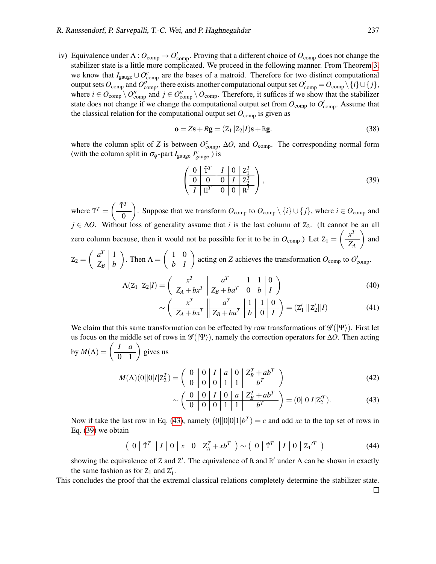iv) Equivalence under  $\Lambda: O_{\text{comp}} \to O'_{\text{comp}}$ . Proving that a different choice of  $O_{\text{comp}}$  does not change the stabilizer state is a little more complicated. We proceed in the following manner. From Theorem [3,](#page-14-2) we know that  $I_{\text{gauge}} \cup O_{\text{comp}}^c$  are the bases of a matroid. Therefore for two distinct computational output sets  $O_{\text{comp}}$  and  $O''_{\text{comp}}$ , there exists another computational output set  $O'_{\text{comp}} = O_{\text{comp}} \setminus \{i\} \cup \{j\}$ , where  $i \in O_{\text{comp}} \setminus O''_{\text{comp}}$  and  $j \in O''_{\text{comp}} \setminus O_{\text{comp}}$ . Therefore, it suffices if we show that the stabilizer state does not change if we change the computational output set from  $O_{\text{comp}}$  to  $O'_{\text{comp}}$ . Assume that the classical relation for the computational output set  $O_{\text{comp}}$  is given as

$$
o = Zs + Rg = (Z_1 | Z_2 | I)s + Rg.
$$
 (38)

where the column split of *Z* is between  $O_{\text{comp}}^c$ ,  $\Delta O$ , and  $O_{\text{comp}}$ . The corresponding normal form (with the column split in  $\sigma_{\phi}$ -part  $I_{\text{gauge}}|I_{\text{gauge}}^c|$ ) is

<span id="page-18-1"></span>
$$
\left(\begin{array}{c|c|c}\n0 & \tilde{T}^T & I & 0 & Z_1^T \\
\hline\n0 & 0 & 0 & I & Z_2^T \\
\hline\nI & H^T & 0 & 0 & R^T\n\end{array}\right),\n\tag{39}
$$

where  $T^T = \left(\frac{\tilde{T}^T}{Q}\right)^T$ 0 . Suppose that we transform  $O_{\text{comp}}$  to  $O_{\text{comp}} \setminus \{i\} \cup \{j\}$ , where  $i \in O_{\text{comp}}$  and  $j \in \Delta O$ . Without loss of generality assume that *i* is the last column of Z<sub>2</sub>. (It cannot be an all zero column because, then it would not be possible for it to be in  $O_{\text{comp}}$ .) Let  $Z_1 = \left(\frac{x^T}{Z}\right)^T$ *ZA*  $\Big)$  and

$$
Z_2 = \left(\frac{a^T \mid 1}{Z_B \mid b}\right).
$$
 Then  $\Lambda = \left(\frac{1 \mid 0}{b \mid I}\right)$  acting on Z achieves the transformation  $O_{\text{comp}}$  to  $O'_{\text{comp}}$ .

$$
\Lambda(Z_1 | Z_2 | I) = \left(\begin{array}{c|c} x^T & a^T & 1 & 1 & 0\\ \hline Z_A + bx^T & Z_B + ba^T & 0 & b & I \end{array}\right) \tag{40}
$$

$$
\sim \left(\frac{x^T}{Z_A + bx^T} \left\| \frac{a^T}{Z_B + ba^T} \left\| \frac{1}{b} \left\| \frac{1}{0} \right\| \right)^2 \right) = \left(\frac{Z_1'}{\left\| \frac{Z_2'}{\left\| \right\|} \right}\right) \tag{41}
$$

We claim that this same transformation can be effected by row transformations of  $\mathscr{G}(|\Psi\rangle)$ . First let us focus on the middle set of rows in  $\mathscr{G}(|\Psi\rangle)$ , namely the correction operators for  $\Delta O$ . Then acting by  $M(\Lambda) = \left(\begin{array}{c|c} I & a \ \hline 0 & 1 \end{array}\right)$  $0 \mid 1$ gives us

$$
M(\Lambda)(0||0|I|Z_2^T) = \left(\begin{array}{c|c|c|c} 0 & 0 & I & a & 0 & Z_B^T + ab^T \\ \hline 0 & 0 & 0 & 1 & 1 & b^T \end{array}\right) \tag{42}
$$

<span id="page-18-0"></span>
$$
\sim \left(\begin{array}{c|c|c|c} 0 & 0 & I & 0 & a & Z_B^T + ab^T \\ \hline 0 & 0 & 0 & 1 & 1 & b^T \end{array}\right) = (0||0|I|Z_2^T). \tag{43}
$$

Now if take the last row in Eq. [\(43\)](#page-18-0), namely  $(0||0|0|1|b^T) = c$  and add *xc* to the top set of rows in Eq. [\(39\)](#page-18-1) we obtain

$$
\left(0 \mid \tilde{T}^T \parallel I \mid 0 \mid x \mid 0 \mid Z_A^T + xb^T \right) \sim \left(0 \mid \tilde{T}^T \parallel I \mid 0 \mid Z_1^{\prime T} \right) \tag{44}
$$

showing the equivalence of Z and Z'. The equivalence of R and R' under  $\Lambda$  can be shown in exactly the same fashion as for  $Z_1$  and  $Z'_1$ .

This concludes the proof that the extremal classical relations completely determine the stabilizer state. $\Box$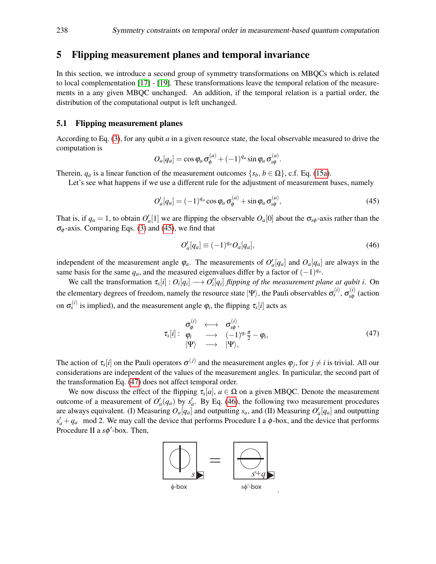# <span id="page-19-0"></span>5 Flipping measurement planes and temporal invariance

In this section, we introduce a second group of symmetry transformations on MBQCs which is related to local complementation [\[17\]](#page-28-0) - [\[19\]](#page-28-1). These transformations leave the temporal relation of the measurements in a any given MBQC unchanged. An addition, if the temporal relation is a partial order, the distribution of the computational output is left unchanged.

### <span id="page-19-4"></span>5.1 Flipping measurement planes

According to Eq. [\(3\)](#page-2-3), for any qubit *a* in a given resource state, the local observable measured to drive the computation is

$$
O_a[q_a] = \cos \varphi_a \,\sigma_{\phi}^{(a)} + (-1)^{q_a} \sin \varphi_a \,\sigma_{s\phi}^{(a)}.
$$

Therein,  $q_a$  is a linear function of the measurement outcomes  $\{s_b, b \in \Omega\}$ , c.f. Eq. [\(15a\)](#page-7-1).

Let's see what happens if we use a different rule for the adjustment of measurement bases, namely

$$
O'_a[q_a] = (-1)^{q_a} \cos \varphi_a \sigma_\phi^{(a)} + \sin \varphi_a \sigma_{s\phi}^{(a)}, \qquad (45)
$$

That is, if  $q_a = 1$ , to obtain  $O'_a[1]$  we are flipping the observable  $O_a[0]$  about the  $\sigma_{s\phi}$ -axis rather than the  $\sigma_{\phi}$ -axis. Comparing Eqs. [\(3\)](#page-2-3) and [\(45\)](#page-19-1), we find that

<span id="page-19-3"></span><span id="page-19-2"></span><span id="page-19-1"></span>
$$
O'_a[q_a] \equiv (-1)^{q_a} O_a[q_a],\tag{46}
$$

independent of the measurement angle  $\varphi_a$ . The measurements of  $O'_a[q_a]$  and  $O_a[q_a]$  are always in the same basis for the same  $q_a$ , and the measured eigenvalues differ by a factor of  $(-1)^{q_a}$ .

We call the transformation  $\tau_s[i]: O_i[q_i] \longrightarrow O'_i[q_i]$  *flipping of the measurement plane at qubit i*. On the elementary degrees of freedom, namely the resource state  $|\Psi\rangle$ , the Pauli observables  $\sigma_s^{(i)}$ ,  $\sigma_{s\phi}^{(i)}$  $\int_{s\phi}^{(t)}$  (action on  $\sigma_s^{(i)}$  is implied), and the measurement angle  $\varphi_i$ , the flipping  $\tau_s[i]$  acts as

$$
\begin{array}{ccc}\n\sigma_{\phi}^{(i)} & \longleftrightarrow & \sigma_{s\phi}^{(i)},\\
\tau_{s}[i]: & \varphi_{i} & \longrightarrow & (-1)^{q_{i}}\frac{\pi}{2} - \varphi_{i},\\
|\Psi\rangle & \longrightarrow & |\Psi\rangle,\n\end{array} \tag{47}
$$

The action of  $\tau_s[i]$  on the Pauli operators  $\sigma^{(j)}$  and the measurement angles  $\varphi_j$ , for  $j \neq i$  is trivial. All our considerations are independent of the values of the measurement angles. In particular, the second part of the transformation Eq. [\(47\)](#page-19-2) does not affect temporal order.

We now discuss the effect of the flipping  $\tau_s[a]$ ,  $a \in \Omega$  on a given MBQC. Denote the measurement outcome of a measurement of  $O'_a(q_a)$  by  $s'_a$ . By Eq. [\(46\)](#page-19-3), the following two measurement procedures are always equivalent. (I) Measuring  $O_a[q_a]$  and outputting  $s_a$ , and (II) Measuring  $O'_a[q_a]$  and outputting  $s'_a + q_a$  mod 2. We may call the device that performs Procedure I a  $\phi$ -box, and the device that performs Procedure II a  $s\phi'$ -box. Then,

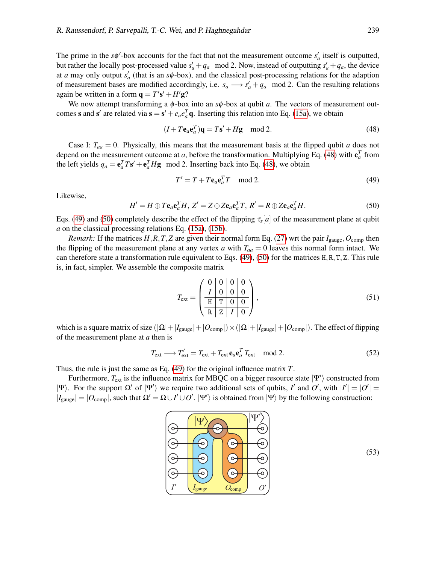The prime in the  $s\phi'$ -box accounts for the fact that not the measurement outcome  $s'_a$  itself is outputted, but rather the locally post-processed value  $s'_a + q_a$  mod 2. Now, instead of outputting  $s'_a + q_a$ , the device at *a* may only output  $s'_a$  (that is an  $s\phi$ -box), and the classical post-processing relations for the adaption of measurement bases are modified accordingly, i.e.  $s_a \rightarrow s'_a + q_a \mod 2$ . Can the resulting relations again be written in a form  $\mathbf{q} = T' \mathbf{s}' + H' \mathbf{g}$ ?

We now attempt transforming a φ-box into an *s*φ-box at qubit *a*. The vectors of measurement outcomes s and s' are related via  $s = s' + e_a e_a^T q$ . Inserting this relation into Eq. [\(15a\)](#page-7-1), we obtain

<span id="page-20-0"></span>
$$
(I + T\mathbf{e}_a \mathbf{e}_a^T)\mathbf{q} = T\mathbf{s}' + H\mathbf{g} \mod 2.
$$
 (48)

Case I:  $T_{aa} = 0$ . Physically, this means that the measurement basis at the flipped qubit *a* does not depend on the measurement outcome at *a*, before the transformation. Multiplying Eq. [\(48\)](#page-20-0) with  $\mathbf{e}_a^T$  from the left yields  $q_a = \mathbf{e}_a^T T \mathbf{s}' + \mathbf{e}_a^T H \mathbf{g} \mod 2$ . Inserting back into Eq. [\(48\)](#page-20-0), we obtain

<span id="page-20-1"></span>
$$
T' = T + T\mathbf{e}_a \mathbf{e}_a^T T \mod 2.
$$
 (49)

<span id="page-20-2"></span>Likewise,

$$
H' = H \oplus T \mathbf{e}_a \mathbf{e}_a^T H, Z' = Z \oplus Z \mathbf{e}_a \mathbf{e}_a^T T, R' = R \oplus Z \mathbf{e}_a \mathbf{e}_a^T H. \tag{50}
$$

Eqs. [\(49\)](#page-20-1) and [\(50\)](#page-20-2) completely describe the effect of the flipping  $\tau_s[a]$  of the measurement plane at qubit *a* on the classical processing relations Eq. [\(15a\)](#page-7-1), [\(15b\)](#page-7-2).

*Remark:* If the matrices  $H, R, T, Z$  are given their normal form Eq. [\(27\)](#page-12-3) wrt the pair  $I_{\text{gauge}}, O_{\text{comp}}$  then the flipping of the measurement plane at any vertex *a* with  $T_{aa} = 0$  leaves this normal form intact. We can therefore state a transformation rule equivalent to Eqs.  $(49)$ ,  $(50)$  for the matrices H, R, T, Z. This rule is, in fact, simpler. We assemble the composite matrix

$$
T_{\text{ext}} = \left(\begin{array}{cc|cc} 0 & 0 & 0 & 0 \\ I & 0 & 0 & 0 \\ \hline H & T & 0 & 0 \\ \hline R & Z & I & 0 \end{array}\right),\tag{51}
$$

which is a square matrix of size  $(|\Omega|+|I_{\text{gauge}}|+|O_{\text{comp}}|)\times(|\Omega|+|I_{\text{gauge}}|+|O_{\text{comp}}|)$ . The effect of flipping of the measurement plane at *a* then is

<span id="page-20-4"></span>
$$
T_{\text{ext}} \longrightarrow T'_{\text{ext}} = T_{\text{ext}} + T_{\text{ext}} \mathbf{e}_a \mathbf{e}_a^T T_{\text{ext}} \mod 2. \tag{52}
$$

Thus, the rule is just the same as Eq. [\(49\)](#page-20-1) for the original influence matrix *T*.

Furthermore,  $T_{ext}$  is the influence matrix for MBQC on a bigger resource state  $|\Psi'\rangle$  constructed from  $|\Psi\rangle$ . For the support  $\Omega'$  of  $|\Psi'\rangle$  we require two additional sets of qubits, *I'* and *O'*, with  $|I'| = |O'| =$  $|I_{\text{gauge}}| = |O_{\text{comp}}|$ , such that  $\Omega' = \Omega \cup I' \cup O'$ .  $|\Psi'\rangle$  is obtained from  $|\Psi\rangle$  by the following construction:



<span id="page-20-3"></span>(53)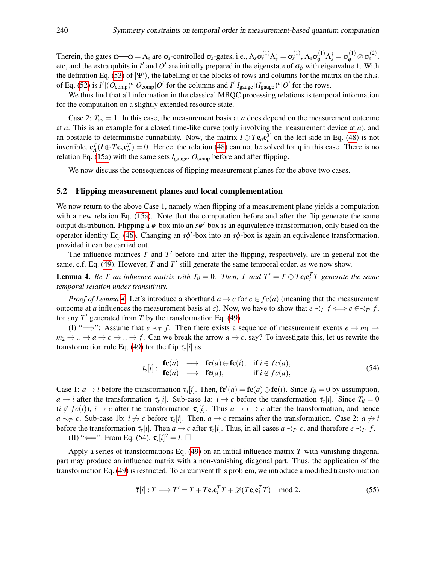Therein, the gates  $\mathbf{O} \longrightarrow \mathbf{O} = \Lambda_s$  are  $\sigma_s$ -controlled  $\sigma_s$ -gates, i.e.,  $\Lambda_s \sigma_s^{(1)} \Lambda_s^{\dagger} = \sigma_s^{(1)}$ ,  $\Lambda_s \sigma_\phi^{(1)} \Lambda_s^{\dagger} = \sigma_\phi^{(1)} \otimes \sigma_s^{(2)}$ , etc, and the extra qubits in *I'* and *O'* are initially prepared in the eigenstate of  $\sigma_{\phi}$  with eigenvalue 1. With the definition Eq. [\(53\)](#page-20-3) of  $|\Psi'\rangle$ , the labelling of the blocks of rows and columns for the matrix on the r.h.s. of Eq. [\(52\)](#page-20-4) is  $I'|(O_{\text{comp}})^c|O_{\text{comp}}|O'$  for the columns and  $I'|I_{\text{gauge}}|(I_{\text{gauge}})^c|O'$  for the rows.

We thus find that all information in the classical MBQC processing relations is temporal information for the computation on a slightly extended resource state.

Case 2:  $T_{aa} = 1$ . In this case, the measurement basis at *a* does depend on the measurement outcome at *a*. This is an example for a closed time-like curve (only involving the measurement device at *a*), and an obstacle to deterministic runnability. Now, the matrix  $I \oplus T e_a e_a^T$  on the left side in Eq. [\(48\)](#page-20-0) is not invertible,  $\mathbf{e}_A^T (I \oplus T \mathbf{e}_a \mathbf{e}_a^T) = 0$ . Hence, the relation [\(48\)](#page-20-0) can not be solved for **q** in this case. There is no relation Eq. [\(15a\)](#page-7-1) with the same sets  $I_{\text{gauge}}$ ,  $O_{\text{comp}}$  before and after flipping.

We now discuss the consequences of flipping measurement planes for the above two cases.

### 5.2 Flipping measurement planes and local complementation

We now return to the above Case 1, namely when flipping of a measurement plane yields a computation with a new relation Eq. [\(15a\)](#page-7-1). Note that the computation before and after the flip generate the same output distribution. Flipping a  $\phi$ -box into an  $s\phi'$ -box is an equivalence transformation, only based on the operator identity Eq. [\(46\)](#page-19-3). Changing an *s*φ'-box into an *s*φ-box is again an equivalence transformation, provided it can be carried out.

The influence matrices  $T$  and  $T'$  before and after the flipping, respectively, are in general not the same, c.f. Eq. [\(49\)](#page-20-1). However,  $T$  and  $T'$  still generate the same temporal order, as we now show.

<span id="page-21-0"></span>**Lemma 4.** Be T an influence matrix with  $T_{ii} = 0$ . Then, T and  $T' = T \oplus Te_i e_i^T T$  generate the same *temporal relation under transitivity.*

*Proof of Lemma* [4.](#page-21-0) Let's introduce a shorthand  $a \to c$  for  $c \in fc(a)$  (meaning that the measurement outcome at *a* influences the measurement basis at *c*). Now, we have to show that  $e \prec_T f \iff e \in \prec_{T'} f$ , for any  $T'$  generated from  $T$  by the transformation Eq. [\(49\)](#page-20-1).

(I) " $\implies$ ": Assume that  $e \prec_T f$ . Then there exists a sequence of measurement events  $e \to m_1 \to$  $m_2 \rightarrow \dots \rightarrow a \rightarrow c \rightarrow \dots \rightarrow f$ . Can we break the arrow  $a \rightarrow c$ , say? To investigate this, let us rewrite the transformation rule Eq. [\(49\)](#page-20-1) for the flip  $\tau_s[i]$  as

<span id="page-21-1"></span>
$$
\tau_s[i]: \begin{array}{l}\n\mathbf{fc}(a) & \longrightarrow & \mathbf{fc}(a) \oplus \mathbf{fc}(i), \quad \text{if } i \in fc(a), \\
\mathbf{fc}(a) & \longrightarrow & \mathbf{fc}(a), \quad \text{if } i \notin fc(a),\n\end{array} \tag{54}
$$

Case 1:  $a \rightarrow i$  before the transformation  $\tau_s[i]$ . Then,  $\mathbf{fc}'(a) = \mathbf{fc}(a) \oplus \mathbf{fc}(i)$ . Since  $T_{ii} = 0$  by assumption,  $a \to i$  after the transformation  $\tau_s[i]$ . Sub-case 1a:  $i \to c$  before the transformation  $\tau_s[i]$ . Since  $T_{ii} = 0$  $(i \notin fc(i))$ ,  $i \to c$  after the transformation  $\tau_s[i]$ . Thus  $a \to i \to c$  after the transformation, and hence  $a \prec_{T'} c$ . Sub-case 1b:  $i \not\rightarrow c$  before  $\tau_s[i]$ . Then,  $a \rightarrow c$  remains after the transformation. Case 2:  $a \not\rightarrow i$ before the transformation  $\tau_s[i]$ . Then  $a \to c$  after  $\tau_s[i]$ . Thus, in all cases  $a \prec_{T'} c$ , and therefore  $e \prec_{T'} f$ . (II) " $\Longleftarrow$ ": From Eq. [\(54\)](#page-21-1),  $\tau_s[i]^2 = I$ .  $\square$ 

<span id="page-21-2"></span>Apply a series of transformations Eq. [\(49\)](#page-20-1) on an initial influence matrix *T* with vanishing diagonal part may produce an influence matrix with a non-vanishing diagonal part. Thus, the application of the transformation Eq. [\(49\)](#page-20-1) is restricted. To circumvent this problem, we introduce a modified transformation

$$
\tilde{\tau}[i]: T \longrightarrow T' = T + T\mathbf{e}_i \mathbf{e}_i^T T + \mathcal{D}(T\mathbf{e}_i \mathbf{e}_i^T T) \mod 2.
$$
\n(55)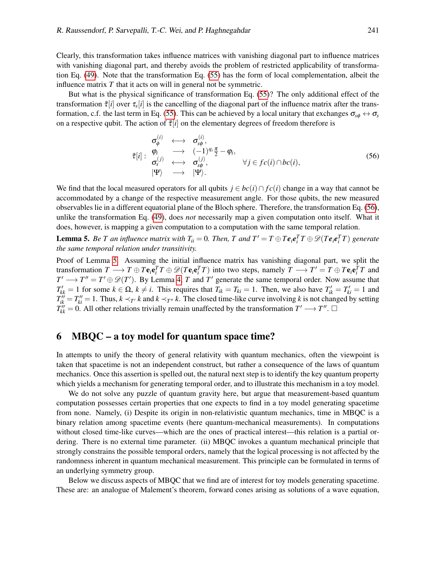Clearly, this transformation takes influence matrices with vanishing diagonal part to influence matrices with vanishing diagonal part, and thereby avoids the problem of restricted applicability of transformation Eq. [\(49\)](#page-20-1). Note that the transformation Eq. [\(55\)](#page-21-2) has the form of local complementation, albeit the influence matrix *T* that it acts on will in general not be symmetric.

But what is the physical significance of transformation Eq. [\(55\)](#page-21-2)? The only additional effect of the transformation  $\tilde{\tau}[i]$  over  $\tau_s[i]$  is the cancelling of the diagonal part of the influence matrix after the trans-formation, c.f. the last term in Eq. [\(55\)](#page-21-2). This can be achieved by a local unitary that exchanges  $\sigma_{s\phi} \leftrightarrow \sigma_s$ on a respective qubit. The action of  $\tilde{\tau}[i]$  on the elementary degrees of freedom therefore is

<span id="page-22-1"></span>
$$
\begin{array}{rcl}\n\sigma_{\phi}^{(i)} & \longleftrightarrow & \sigma_{s\phi}^{(i)}, \\
\tilde{\tau}[i]: & \rho_i & \longleftrightarrow & (-1)^{q_i} \frac{\pi}{2} - \varphi_i, \\
\sigma_{s}^{(j)} & \longleftrightarrow & \sigma_{s\phi}^{(j)}, \\
|\Psi\rangle & \longrightarrow & |\Psi\rangle.\n\end{array} \quad \forall j \in f c(i) \cap bc(i),\n\tag{56}
$$

We find that the local measured operators for all qubits  $j \in bc(i) \cap fc(i)$  change in a way that cannot be accommodated by a change of the respective measurement angle. For those qubits, the new measured observables lie in a different equatorial plane of the Bloch sphere. Therefore, the transformation Eq. [\(56\)](#page-22-1), unlike the transformation Eq. [\(49\)](#page-20-1), does *not* necessarily map a given computation onto itself. What it does, however, is mapping a given computation to a computation with the same temporal relation.

<span id="page-22-2"></span>**Lemma 5.** Be T an influence matrix with  $T_{ii} = 0$ . Then, T and  $T' = T \oplus Te_i e_i^T T \oplus \mathscr{D}(Te_i e_i^T T)$  generate *the same temporal relation under transitivity.*

Proof of Lemma [5.](#page-22-2) Assuming the initial influence matrix has vanishing diagonal part, we split the transformation  $T \longrightarrow T \oplus T$ **e**<sub>i</sub>**e**<sup>T</sup><sub>i</sub></sub> $T \oplus \mathcal{D}(T$ **e**<sub>i</sub>**e**<sup>T</sup><sub>i</sub><sup>T</sup><sub>i</sub>) into two steps, namely  $T \longrightarrow T' = T \oplus T$ **e**<sub>i</sub>**e**<sup>T</sup><sub>i</sub><sup>T</sup><sub>i</sub> and  $T' \longrightarrow T'' = T' \oplus \mathcal{D}(T')$ . By Lemma [4,](#page-21-0) *T* and *T'* generate the same temporal order. Now assume that  $T'_{kk} = 1$  for some  $k \in \Omega$ ,  $k \neq i$ . This requires that  $T_{ik} = T_{ki} = 1$ . Then, we also have  $T'_{ik} = T'_{ki} = 1$  and  $T_{ik}'' = T_{ki}'' = 1$ . Thus,  $k \prec_{T'} k$  and  $k \prec_{T''} k$ . The closed time-like curve involving *k* is not changed by setting  $T''_{kk} = 0$ . All other relations trivially remain unaffected by the transformation  $T' \longrightarrow T''$ .

# <span id="page-22-0"></span>6 MBQC – a toy model for quantum space time?

In attempts to unify the theory of general relativity with quantum mechanics, often the viewpoint is taken that spacetime is not an independent construct, but rather a consequence of the laws of quantum mechanics. Once this assertion is spelled out, the natural next step is to identify the key quantum property which yields a mechanism for generating temporal order, and to illustrate this mechanism in a toy model.

We do not solve any puzzle of quantum gravity here, but argue that measurement-based quantum computation possesses certain properties that one expects to find in a toy model generating spacetime from none. Namely, (i) Despite its origin in non-relativistic quantum mechanics, time in MBQC is a binary relation among spacetime events (here quantum-mechanical measurements). In computations without closed time-like curves—which are the ones of practical interest—this relation is a partial ordering. There is no external time parameter. (ii) MBQC invokes a quantum mechanical principle that strongly constrains the possible temporal orders, namely that the logical processing is not affected by the randomness inherent in quantum mechanical measurement. This principle can be formulated in terms of an underlying symmetry group.

Below we discuss aspects of MBQC that we find are of interest for toy models generating spacetime. These are: an analogue of Malement's theorem, forward cones arising as solutions of a wave equation,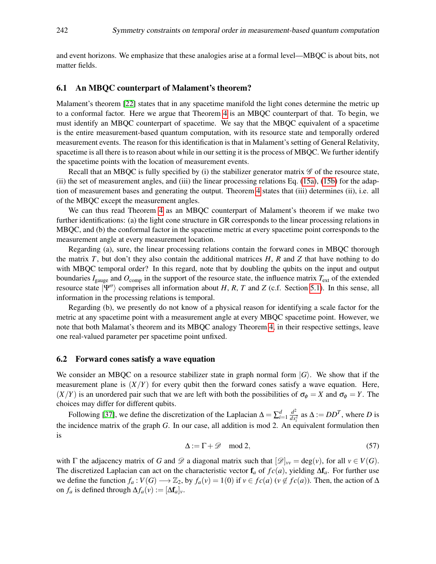and event horizons. We emphasize that these analogies arise at a formal level—MBQC is about bits, not matter fields.

### 6.1 An MBQC counterpart of Malament's theorem?

Malament's theorem [\[22\]](#page-28-4) states that in any spacetime manifold the light cones determine the metric up to a conformal factor. Here we argue that Theorem [4](#page-14-1) is an MBQC counterpart of that. To begin, we must identify an MBQC counterpart of spacetime. We say that the MBQC equivalent of a spacetime is the entire measurement-based quantum computation, with its resource state and temporally ordered measurement events. The reason for this identification is that in Malament's setting of General Relativity, spacetime is all there is to reason about while in our setting it is the process of MBQC. We further identify the spacetime points with the location of measurement events.

Recall that an MBQC is fully specified by (i) the stabilizer generator matrix  $\mathscr G$  of the resource state, (ii) the set of measurement angles, and (iii) the linear processing relations Eq. [\(15a\)](#page-7-1), [\(15b\)](#page-7-2) for the adaption of measurement bases and generating the output. Theorem [4](#page-14-1) states that (iii) determines (ii), i.e. all of the MBQC except the measurement angles.

We can thus read Theorem [4](#page-14-1) as an MBQC counterpart of Malament's theorem if we make two further identifications: (a) the light cone structure in GR corresponds to the linear processing relations in MBQC, and (b) the conformal factor in the spacetime metric at every spacetime point corresponds to the measurement angle at every measurement location.

Regarding (a), sure, the linear processing relations contain the forward cones in MBQC thorough the matrix *T*, but don't they also contain the additional matrices *H*, *R* and *Z* that have nothing to do with MBQC temporal order? In this regard, note that by doubling the qubits on the input and output boundaries  $I_{\text{gauge}}$  and  $O_{\text{comp}}$  in the support of the resource state, the influence matrix  $T_{\text{ext}}$  of the extended resource state  $|\Psi''\rangle$  comprises all information about *H*, *R*, *T* and *Z* (c.f. Section [5.1\)](#page-19-4). In this sense, all information in the processing relations is temporal.

Regarding (b), we presently do not know of a physical reason for identifying a scale factor for the metric at any spacetime point with a measurement angle at every MBQC spacetime point. However, we note that both Malamat's theorem and its MBQC analogy Theorem [4,](#page-14-1) in their respective settings, leave one real-valued parameter per spacetime point unfixed.

### <span id="page-23-0"></span>6.2 Forward cones satisfy a wave equation

We consider an MBQC on a resource stabilizer state in graph normal form  $|G\rangle$ . We show that if the measurement plane is  $(X/Y)$  for every qubit then the forward cones satisfy a wave equation. Here,  $(X/Y)$  is an unordered pair such that we are left with both the possibilities of  $\sigma_{\phi} = X$  and  $\sigma_{\phi} = Y$ . The choices may differ for different qubits.

<span id="page-23-1"></span>Following [\[37\]](#page-28-18), we define the discretization of the Laplacian  $\Delta = \sum_{i=1}^{d} \frac{d^2}{dx^2}$  $\frac{d^2}{dx_i^2}$  as  $\Delta := DD^T$ , where *D* is the incidence matrix of the graph *G*. In our case, all addition is mod 2. An equivalent formulation then is

$$
\Delta := \Gamma + \mathcal{D} \mod 2,\tag{57}
$$

with  $\Gamma$  the adjacency matrix of *G* and  $\mathscr{D}$  a diagonal matrix such that  $[\mathscr{D}]_{vv} = \deg(v)$ , for all  $v \in V(G)$ . The discretized Laplacian can act on the characteristic vector  $f_a$  of  $f_c(a)$ , yielding  $\Delta f_a$ . For further use we define the function  $f_a: V(G) \longrightarrow \mathbb{Z}_2$ , by  $f_a(v) = 1(0)$  if  $v \in fc(a)$  ( $v \notin fc(a)$ ). Then, the action of  $\Delta$ on *f<sub>a</sub>* is defined through  $\Delta f_a(v) := [\Delta \mathbf{f}_a]_v$ .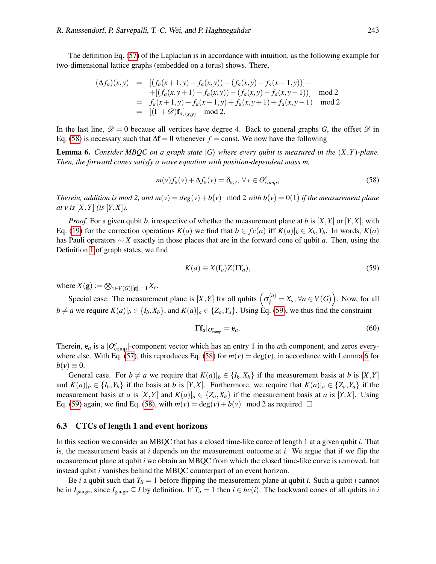The definition Eq. [\(57\)](#page-23-1) of the Laplacian is in accordance with intuition, as the following example for two-dimensional lattice graphs (embedded on a torus) shows. There,

$$
(\Delta f_a)(x,y) = [(f_a(x+1,y) - f_a(x,y)) - (f_a(x,y) - f_a(x-1,y))] ++ [(f_a(x,y+1) - f_a(x,y)) - (f_a(x,y) - f_a(x,y-1))] \mod 2
$$
  
=  $f_a(x+1,y) + f_a(x-1,y) + f_a(x,y+1) + f_a(x,y-1) \mod 2$   
=  $[(\Gamma + \mathscr{D})\mathbf{f}_a]_{(x,y)} \mod 2.$ 

In the last line,  $\mathscr{D} = 0$  because all vertices have degree 4. Back to general graphs *G*, the offset  $\mathscr{D}$  in Eq. [\(58\)](#page-24-0) is necessary such that  $\Delta f = 0$  whenever  $f =$  const. We now have the following

<span id="page-24-2"></span>**Lemma 6.** *Consider MBQC on a graph state*  $|G\rangle$  *where every qubit is measured in the*  $(X, Y)$ *-plane. Then, the forward cones satisfy a wave equation with position-dependent mass m,*

<span id="page-24-0"></span>
$$
m(v)f_a(v) + \Delta f_a(v) = \delta_{a,v}, \forall v \in O_{comp}^c,
$$
\n(58)

*Therein, addition is mod 2, and*  $m(v) = deg(v) + b(v) \mod 2$  *with*  $b(v) = 0(1)$  *if the measurement plane at v is* [*X*,*Y*] *(is* [*Y*,*X*]*).*

*Proof.* For a given qubit *b*, irrespective of whether the measurement plane at *b* is [*X*,*Y*] or [*Y*,*X*], with Eq. [\(19\)](#page-9-0) for the correction operations  $K(a)$  we find that  $b \in fc(a)$  iff  $K(a)|_b \in X_b, Y_b$ . In words,  $K(a)$ has Pauli operators ∼ *X* exactly in those places that are in the forward cone of qubit *a*. Then, using the Definition [1](#page-2-4) of graph states, we find

<span id="page-24-1"></span>
$$
K(a) \equiv X(\mathbf{f}_a) Z(\Gamma \mathbf{f}_a), \tag{59}
$$

where  $X(\mathbf{g}) := \bigotimes_{v \in V(G) |[\mathbf{g}]_v = 1} X_v$ .

Special case: The measurement plane is  $[X, Y]$  for all qubits  $(\sigma_{\phi}^{(a)} = X_a, \forall a \in V(G))$ . Now, for all *b* ≠ *a* we require  $K(a)|_b \in \{I_b, X_b\}$ , and  $K(a)|_a \in \{Z_a, Y_a\}$ . Using Eq. [\(59\)](#page-24-1), we thus find the constraint

$$
\Gamma \mathbf{f}_a |_{O_{\text{comp}}^c} = \mathbf{e}_a. \tag{60}
$$

Therein,  $e_a$  is a  $|O_{\text{comp}}^c|$ -component vector which has an entry 1 in the *a*th component, and zeros every-where else. With Eq. [\(57\)](#page-23-1), this reproduces Eq. [\(58\)](#page-24-0) for  $m(v) = \deg(v)$ , in accordance with Lemma [6](#page-24-2) for  $b(v) \equiv 0.$ 

General case. For  $b \neq a$  we require that  $K(a)|_b \in \{I_b, X_b\}$  if the measurement basis at *b* is  $[X, Y]$ and  $K(a)|_b \in \{I_b, Y_b\}$  if the basis at *b* is [*Y*,*X*]. Furthermore, we require that  $K(a)|_a \in \{Z_a, Y_a\}$  if the measurement basis at *a* is  $[X, Y]$  and  $K(a)|_a \in \{Z_a, X_a\}$  if the measurement basis at *a* is  $[Y, X]$ . Using Eq. [\(59\)](#page-24-1) again, we find Eq. [\(58\)](#page-24-0), with  $m(v) = \deg(v) + b(v) \mod 2$  as required.  $\square$ 

### 6.3 CTCs of length 1 and event horizons

In this section we consider an MBQC that has a closed time-like curce of length 1 at a given qubit *i*. That is, the measurement basis at *i* depends on the measurement outcome at *i*. We argue that if we flip the measurement plane at qubit *i* we obtain an MBQC from which the closed time-like curve is removed, but instead qubit *i* vanishes behind the MBQC counterpart of an event horizon.

Be *i* a qubit such that  $T_{ii} = 1$  before flipping the measurement plane at qubit *i*. Such a qubit *i* cannot be in  $I_{\text{gauge}}$ , since  $I_{\text{gauge}} \subseteq I$  by definition. If  $T_{ii} = 1$  then  $i \in bc(i)$ . The backward cones of all qubits in *i*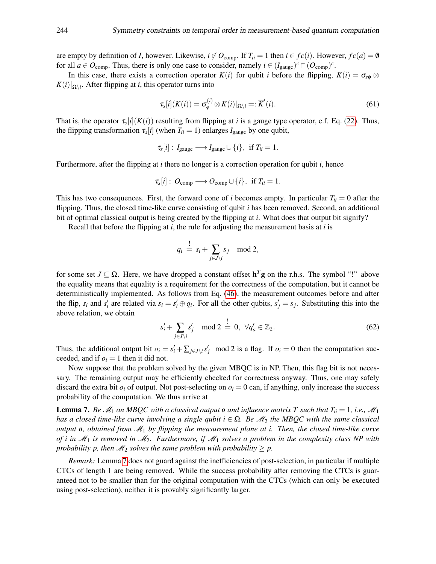are empty by definition of *I*, however. Likewise,  $i \notin O_{\text{comp}}$ . If  $T_{ii} = 1$  then  $i \in fc(i)$ . However,  $fc(a) = \emptyset$ for all  $a \in O_{\text{comp}}$ . Thus, there is only one case to consider, namely  $i \in (I_{\text{gauge}})^c \cap (O_{\text{comp}})^c$ .

In this case, there exists a correction operator  $K(i)$  for qubit *i* before the flipping,  $K(i) = \sigma_{s\phi} \otimes$  $K(i)|_{\Omega\setminus i}$ . After flipping at *i*, this operator turns into

$$
\tau_{s}[i](K(i)) = \sigma_{\phi}^{(i)} \otimes K(i)|_{\Omega \setminus i} =: \overline{K}'(i).
$$
\n(61)

That is, the operator  $\tau_s[i](K(i))$  resulting from flipping at *i* is a gauge type operator, c.f. Eq. [\(22\)](#page-10-0). Thus, the flipping transformation  $\tau_s[i]$  (when  $T_{ii} = 1$ ) enlarges  $I_{\text{gauge}}$  by one qubit,

$$
\tau_s[i]: I_{\text{gauge}} \longrightarrow I_{\text{gauge}} \cup \{i\}, \ \text{ if } T_{ii} = 1.
$$

Furthermore, after the flipping at *i* there no longer is a correction operation for qubit *i*, hence

$$
\tau_s[i]: O_{\text{comp}} \longrightarrow O_{\text{comp}} \cup \{i\}, \text{ if } T_{ii} = 1.
$$

This has two consequences. First, the forward cone of *i* becomes empty. In particular  $T_{ii} = 0$  after the flipping. Thus, the closed time-like curve consisting of qubit *i* has been removed. Second, an additional bit of optimal classical output is being created by the flipping at *i*. What does that output bit signify?

Recall that before the flipping at *i*, the rule for adjusting the measurement basis at *i* is

$$
q_i \stackrel{!}{=} s_i + \sum_{j \in J \setminus i} s_j \mod 2,
$$

for some set  $J \subseteq \Omega$ . Here, we have dropped a constant offset  $\mathbf{h}^T \mathbf{g}$  on the r.h.s. The symbol "!" above the equality means that equality is a requirement for the correctness of the computation, but it cannot be deterministically implemented. As follows from Eq. [\(46\)](#page-19-3), the measurement outcomes before and after the flip,  $s_i$  and  $s'_i$  are related via  $s_i = s'_i \oplus q_i$ . For all the other qubits,  $s'_j = s_j$ . Substituting this into the above relation, we obtain

<span id="page-25-1"></span>
$$
s_i' + \sum_{j \in J \setminus i} s_j' \mod 2 = 0, \ \forall q_a' \in \mathbb{Z}_2. \tag{62}
$$

Thus, the additional output bit  $o_i = s'_i + \sum_{j \in J \setminus i} s'_j \mod 2$  is a flag. If  $o_i = 0$  then the computation succeeded, and if  $o_i = 1$  then it did not.

Now suppose that the problem solved by the given MBQC is in NP. Then, this flag bit is not necessary. The remaining output may be efficiently checked for correctness anyway. Thus, one may safely discard the extra bit  $o_i$  of output. Not post-selecting on  $o_i = 0$  can, if anything, only increase the success probability of the computation. We thus arrive at

<span id="page-25-0"></span>**Lemma 7.** *Be*  $\mathcal{M}_1$  *an MBQC with a classical output o and influence matrix T such that*  $T_{ii} = 1$ *, i.e.,*  $\mathcal{M}_1$ *has a closed time-like curve involving a single qubit i*  $\in \Omega$ *. Be*  $\mathcal{M}_2$  *the MBQC with the same classical output*  $\boldsymbol{o}$ , *obtained from*  $\mathcal{M}_1$  *by flipping the measurement plane at i. Then, the closed time-like curve of i in* M<sup>1</sup> *is removed in* M2*. Furthermore, if* M<sup>1</sup> *solves a problem in the complexity class NP with probability p, then*  $\mathcal{M}_2$  *solves the same problem with probability*  $\geq p$ *.* 

*Remark:* Lemma [7](#page-25-0) does not guard against the inefficiencies of post-selection, in particular if multiple CTCs of length 1 are being removed. While the success probability after removing the CTCs is guaranteed not to be smaller than for the original computation with the CTCs (which can only be executed using post-selection), neither it is provably significantly larger.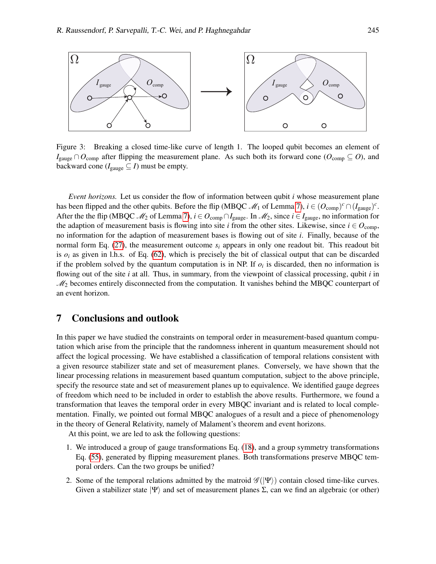

Figure 3: Breaking a closed time-like curve of length 1. The looped qubit becomes an element of *I*<sub>gauge</sub> ∩  $O_{\text{comp}}$  after flipping the measurement plane. As such both its forward cone ( $O_{\text{comp}} \subseteq O$ ), and backward cone ( $I_{\text{gauge}} \subseteq I$ ) must be empty.

*Event horizons.* Let us consider the flow of information between qubit *i* whose measurement plane has been flipped and the other qubits. Before the flip (MBQC  $\mathcal{M}_1$  of Lemma [7\)](#page-25-0),  $i \in (O_{\text{comp}})^c \cap (I_{\text{gauge}})^c$ . After the the flip (MBQC  $\mathcal{M}_2$  of Lemma [7\)](#page-25-0),  $i \in O_{\text{comp}} \cap I_{\text{gauge}}$ . In  $\mathcal{M}_2$ , since  $i \in I_{\text{gauge}}$ , no information for the adaption of measurement basis is flowing into site *i* from the other sites. Likewise, since  $i \in O_{\text{comp}}$ , no information for the adaption of measurement bases is flowing out of site *i*. Finally, because of the normal form Eq.  $(27)$ , the measurement outcome  $s_i$  appears in only one readout bit. This readout bit is  $o_i$  as given in l.h.s. of Eq. [\(62\)](#page-25-1), which is precisely the bit of classical output that can be discarded if the problem solved by the quantum computation is in NP. If  $o_i$  is discarded, then no information is flowing out of the site *i* at all. Thus, in summary, from the viewpoint of classical processing, qubit *i* in  $\mathcal{M}_2$  becomes entirely disconnected from the computation. It vanishes behind the MBQC counterpart of an event horizon.

# <span id="page-26-0"></span>7 Conclusions and outlook

In this paper we have studied the constraints on temporal order in measurement-based quantum computation which arise from the principle that the randomness inherent in quantum measurement should not affect the logical processing. We have established a classification of temporal relations consistent with a given resource stabilizer state and set of measurement planes. Conversely, we have shown that the linear processing relations in measurement based quantum computation, subject to the above principle, specify the resource state and set of measurement planes up to equivalence. We identified gauge degrees of freedom which need to be included in order to establish the above results. Furthermore, we found a transformation that leaves the temporal order in every MBQC invariant and is related to local complementation. Finally, we pointed out formal MBQC analogues of a result and a piece of phenomenology in the theory of General Relativity, namely of Malament's theorem and event horizons.

At this point, we are led to ask the following questions:

- 1. We introduced a group of gauge transformations Eq. [\(18\)](#page-8-4), and a group symmetry transformations Eq. [\(55\)](#page-21-2), generated by flipping measurement planes. Both transformations preserve MBQC temporal orders. Can the two groups be unified?
- 2. Some of the temporal relations admitted by the matroid  $\mathscr{G}(|\Psi\rangle)$  contain closed time-like curves. Given a stabilizer state  $|\Psi\rangle$  and set of measurement planes  $\Sigma$ , can we find an algebraic (or other)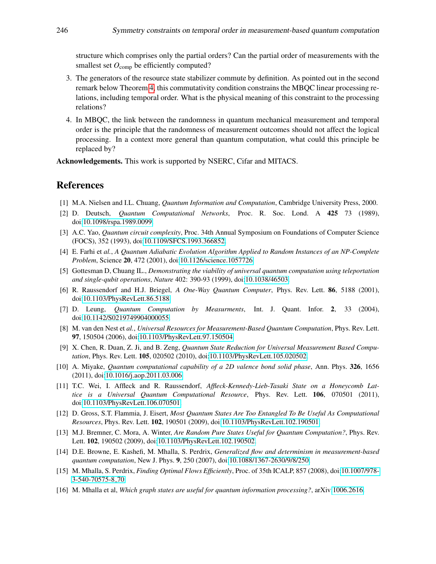structure which comprises only the partial orders? Can the partial order of measurements with the smallest set  $O_{\text{comp}}$  be efficiently computed?

- 3. The generators of the resource state stabilizer commute by definition. As pointed out in the second remark below Theorem [4,](#page-14-1) this commutativity condition constrains the MBQC linear processing relations, including temporal order. What is the physical meaning of this constraint to the processing relations?
- 4. In MBQC, the link between the randomness in quantum mechanical measurement and temporal order is the principle that the randomness of measurement outcomes should not affect the logical processing. In a context more general than quantum computation, what could this principle be replaced by?

Acknowledgements. This work is supported by NSERC, Cifar and MITACS.

# References

- <span id="page-27-0"></span>[1] M.A. Nielsen and I.L. Chuang, *Quantum Information and Computation*, Cambridge University Press, 2000.
- <span id="page-27-1"></span>[2] D. Deutsch, *Quantum Computational Networks*, Proc. R. Soc. Lond. A 425 73 (1989), doi[:10.1098/rspa.1989.0099.](http://dx.doi.org/10.1098/rspa.1989.0099)
- <span id="page-27-2"></span>[3] A.C. Yao, *Quantum circuit complexity*, Proc. 34th Annual Symposium on Foundations of Computer Science (FOCS), 352 (1993), doi[:10.1109/SFCS.1993.366852.](http://dx.doi.org/10.1109/SFCS.1993.366852)
- <span id="page-27-3"></span>[4] E. Farhi et *al.*, *A Quantum Adiabatic Evolution Algorithm Applied to Random Instances of an NP-Complete Problem*, Science 20, 472 (2001), doi[:10.1126/science.1057726.](http://dx.doi.org/10.1126/science.1057726)
- <span id="page-27-4"></span>[5] Gottesman D, Chuang IL., *Demonstrating the viability of universal quantum computation using teleportation and single-qubit operations*, *Nature* 402: 390-93 (1999), doi[:10.1038/46503.](http://dx.doi.org/10.1038/46503)
- <span id="page-27-5"></span>[6] R. Raussendorf and H.J. Briegel, *A One-Way Quantum Computer*, Phys. Rev. Lett. 86, 5188 (2001), doi[:10.1103/PhysRevLett.86.5188.](http://dx.doi.org/10.1103/PhysRevLett.86.5188)
- <span id="page-27-6"></span>[7] D. Leung, *Quantum Computation by Measurments*, Int. J. Quant. Infor. 2, 33 (2004), doi[:10.1142/S0219749904000055.](http://dx.doi.org/10.1142/S0219749904000055)
- <span id="page-27-7"></span>[8] M. van den Nest et *al.*, *Universal Resources for Measurement-Based Quantum Computation*, Phys. Rev. Lett. 97, 150504 (2006), doi[:10.1103/PhysRevLett.97.150504.](http://dx.doi.org/10.1103/PhysRevLett.97.150504)
- <span id="page-27-8"></span>[9] X. Chen, R. Duan, Z. Ji, and B. Zeng, *Quantum State Reduction for Universal Measurement Based Computation*, Phys. Rev. Lett. 105, 020502 (2010), doi[:10.1103/PhysRevLett.105.020502.](http://dx.doi.org/10.1103/PhysRevLett.105.020502)
- <span id="page-27-9"></span>[10] A. Miyake, *Quantum computational capability of a 2D valence bond solid phase*, Ann. Phys. 326, 1656 (2011), doi[:10.1016/j.aop.2011.03.006.](http://dx.doi.org/10.1016/j.aop.2011.03.006)
- <span id="page-27-10"></span>[11] T.C. Wei, I. Affleck and R. Raussendorf, *Affleck-Kennedy-Lieb-Tasaki State on a Honeycomb Lattice is a Universal Quantum Computational Resource*, Phys. Rev. Lett. 106, 070501 (2011), doi[:10.1103/PhysRevLett.106.070501.](http://dx.doi.org/10.1103/PhysRevLett.106.070501)
- <span id="page-27-11"></span>[12] D. Gross, S.T. Flammia, J. Eisert, *Most Quantum States Are Too Entangled To Be Useful As Computational Resources*, Phys. Rev. Lett. 102, 190501 (2009), doi[:10.1103/PhysRevLett.102.190501.](http://dx.doi.org/10.1103/PhysRevLett.102.190501)
- <span id="page-27-12"></span>[13] M.J. Bremner, C. Mora, A. Winter, *Are Random Pure States Useful for Quantum Computation?*, Phys. Rev. Lett. 102, 190502 (2009), doi[:10.1103/PhysRevLett.102.190502.](http://dx.doi.org/10.1103/PhysRevLett.102.190502)
- <span id="page-27-13"></span>[14] D.E. Browne, E. Kashefi, M. Mhalla, S. Perdrix, *Generalized flow and determinism in measurement-based quantum computation*, New J. Phys. 9, 250 (2007), doi[:10.1088/1367-2630/9/8/250.](http://dx.doi.org/10.1088/1367-2630/9/8/250)
- <span id="page-27-14"></span>[15] M. Mhalla, S. Perdrix, *Finding Optimal Flows Efficiently*, Proc. of 35th ICALP, 857 (2008), doi[:10.1007/978-](http://dx.doi.org/10.1007/978-3-540-70575-8_70) [3-540-70575-8](http://dx.doi.org/10.1007/978-3-540-70575-8_70) 70.
- <span id="page-27-15"></span>[16] M. Mhalla et al, *Which graph states are useful for quantum information processing?*, arXiv[:1006.2616.](http://arxiv.org/abs/1006.2616)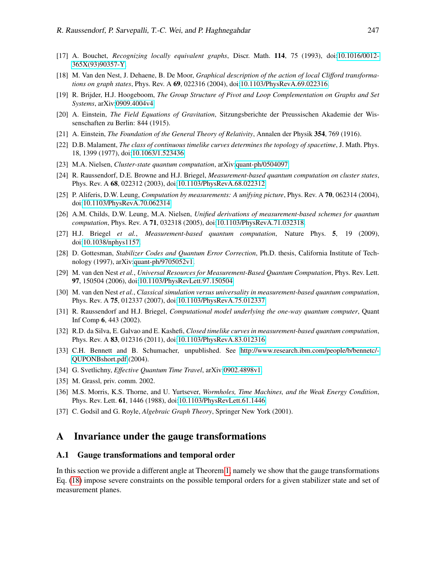- <span id="page-28-0"></span>[17] A. Bouchet, *Recognizing locally equivalent graphs*, Discr. Math. 114, 75 (1993), doi[:10.1016/0012-](http://dx.doi.org/10.1016/0012-365X(93)90357-Y) [365X\(93\)90357-Y.](http://dx.doi.org/10.1016/0012-365X(93)90357-Y)
- [18] M. Van den Nest, J. Dehaene, B. De Moor, *Graphical description of the action of local Clifford transformations on graph states*, Phys. Rev. A 69, 022316 (2004), doi[:10.1103/PhysRevA.69.022316.](http://dx.doi.org/10.1103/PhysRevA.69.022316)
- <span id="page-28-1"></span>[19] R. Brijder, H.J. Hoogeboom, *The Group Structure of Pivot and Loop Complementation on Graphs and Set Systems*, arXiv[:0909.4004v4.](http://arxiv.org/abs/0909.4004v4)
- <span id="page-28-2"></span>[20] A. Einstein, *The Field Equations of Gravitation*, Sitzungsberichte der Preussischen Akademie der Wissenschaften zu Berlin: 844 (1915).
- <span id="page-28-3"></span>[21] A. Einstein, *The Foundation of the General Theory of Relativity*, Annalen der Physik 354, 769 (1916).
- <span id="page-28-4"></span>[22] D.B. Malament, *The class of continuous timelike curves determines the topology of spacetime*, J. Math. Phys. 18, 1399 (1977), doi[:10.1063/1.523436.](http://dx.doi.org/10.1063/1.523436)
- <span id="page-28-5"></span>[23] M.A. Nielsen, *Cluster-state quantum computation*, arXiv[:quant-ph/0504097.](http://arxiv.org/abs/quant-ph/0504097)
- <span id="page-28-10"></span>[24] R. Raussendorf, D.E. Browne and H.J. Briegel, *Measurement-based quantum computation on cluster states*, Phys. Rev. A 68, 022312 (2003), doi[:10.1103/PhysRevA.68.022312.](http://dx.doi.org/10.1103/PhysRevA.68.022312)
- [25] P. Aliferis, D.W. Leung, *Computation by measurements: A unifying picture*, Phys. Rev. A 70, 062314 (2004), doi[:10.1103/PhysRevA.70.062314.](http://dx.doi.org/10.1103/PhysRevA.70.062314)
- [26] A.M. Childs, D.W. Leung, M.A. Nielsen, *Unified derivations of measurement-based schemes for quantum computation*, Phys. Rev. A 71, 032318 (2005), doi[:10.1103/PhysRevA.71.032318.](http://dx.doi.org/10.1103/PhysRevA.71.032318)
- <span id="page-28-6"></span>[27] H.J. Briegel *et al.*, *Measurement-based quantum computation*, Nature Phys. 5, 19 (2009), doi[:10.1038/nphys1157.](http://dx.doi.org/10.1038/nphys1157)
- <span id="page-28-7"></span>[28] D. Gottesman, *Stabilizer Codes and Quantum Error Correction*, Ph.D. thesis, California Institute of Technology (1997), arXiv[:quant-ph/9705052v1.](http://arxiv.org/abs/quant-ph/9705052v1)
- <span id="page-28-8"></span>[29] M. van den Nest *et al.*, *Universal Resources for Measurement-Based Quantum Computation*, Phys. Rev. Lett. 97, 150504 (2006), doi[:10.1103/PhysRevLett.97.150504.](http://dx.doi.org/10.1103/PhysRevLett.97.150504)
- <span id="page-28-9"></span>[30] M. van den Nest *et al.*, *Classical simulation versus universality in measurement-based quantum computation*, Phys. Rev. A 75, 012337 (2007), doi[:10.1103/PhysRevA.75.012337.](http://dx.doi.org/10.1103/PhysRevA.75.012337)
- <span id="page-28-11"></span>[31] R. Raussendorf and H.J. Briegel, *Computational model underlying the one-way quantum computer*, Quant Inf Comp 6, 443 (2002).
- <span id="page-28-14"></span>[32] R.D. da Silva, E. Galvao and E. Kashefi, *Closed timelike curves in measurement-based quantum computation*, Phys. Rev. A 83, 012316 (2011), doi[:10.1103/PhysRevA.83.012316.](http://dx.doi.org/10.1103/PhysRevA.83.012316)
- <span id="page-28-12"></span>[33] C.H. Bennett and B. Schumacher, unpublished. See [http://www.research.ibm.com/people/b/bennetc/-](http://www.research.ibm.com/people/b/bennetc/QUPONBshort.pdf) [QUPONBshort.pdf](http://www.research.ibm.com/people/b/bennetc/QUPONBshort.pdf) (2004).
- <span id="page-28-13"></span>[34] G. Svetlichny, *Effective Quantum Time Travel*, arXiv[:0902.4898v1.](http://arxiv.org/abs/0902.4898v1)
- <span id="page-28-15"></span>[35] M. Grassl, priv. comm. 2002.
- <span id="page-28-17"></span>[36] M.S. Morris, K.S. Thorne, and U. Yurtsever, *Wormholes, Time Machines, and the Weak Energy Condition*, Phys. Rev. Lett. 61, 1446 (1988), doi[:10.1103/PhysRevLett.61.1446.](http://dx.doi.org/10.1103/PhysRevLett.61.1446)
- <span id="page-28-18"></span>[37] C. Godsil and G. Royle, *Algebraic Graph Theory*, Springer New York (2001).

# <span id="page-28-16"></span>A Invariance under the gauge transformations

### A.1 Gauge transformations and temporal order

In this section we provide a different angle at Theorem [1,](#page-14-3) namely we show that the gauge transformations Eq. [\(18\)](#page-8-4) impose severe constraints on the possible temporal orders for a given stabilizer state and set of measurement planes.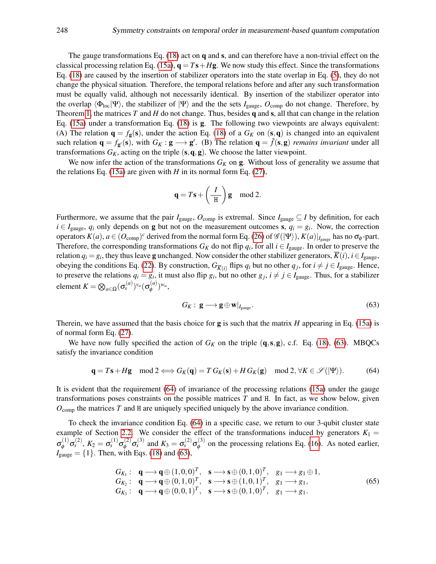The gauge transformations Eq.  $(18)$  act on q and s, and can therefore have a non-trivial effect on the classical processing relation Eq. [\(15a\)](#page-7-1),  $q = Ts + Hg$ . We now study this effect. Since the transformations Eq. [\(18\)](#page-8-4) are caused by the insertion of stabilizer operators into the state overlap in Eq. [\(5\)](#page-3-1), they do not change the physical situation. Therefore, the temporal relations before and after any such transformation must be equally valid, although not necessarily identical. By insertion of the stabilizer operator into the overlap  $\langle \Phi_{loc} | \Psi \rangle$ , the stabilizer of  $| \Psi \rangle$  and the the sets *I*<sub>gauge</sub>,  $O_{comp}$  do not change. Therefore, by Theorem [1,](#page-14-3) the matrices *T* and *H* do not change. Thus, besides q and s, all that can change in the relation Eq. [\(15a\)](#page-7-1) under a transformation Eq. [\(18\)](#page-8-4) is g. The following two viewpoints are always equivalent: (A) The relation  $\mathbf{q} = f_{\mathbf{g}}(\mathbf{s})$ , under the action Eq. [\(18\)](#page-8-4) of a  $G_K$  on  $(\mathbf{s}, \mathbf{q})$  is changed into an equivalent such relation  $\mathbf{q} = f_{\mathbf{g}}(\mathbf{s})$ , with  $G_K : \mathbf{g} \longrightarrow \mathbf{g}'$ . (B) The relation  $\mathbf{q} = \tilde{f}(\mathbf{s}, \mathbf{g})$  *remains invariant* under all transformations  $G_K$ , acting on the triple  $(s, q, g)$ . We choose the latter viewpoint.

We now infer the action of the transformations  $G_K$  on  $g$ . Without loss of generality we assume that the relations Eq. [\(15a\)](#page-7-1) are given with  $H$  in its normal form Eq. [\(27\)](#page-12-3),

$$
\mathbf{q} = T\mathbf{s} + \left(\frac{I}{H}\right)\mathbf{g} \mod 2.
$$

Furthermore, we assume that the pair  $I_{\text{gauge}}$ ,  $O_{\text{comp}}$  is extremal. Since  $I_{\text{gauge}} \subseteq I$  by definition, for each  $i \in I_{\text{gauge}}$ ,  $q_i$  only depends on g but not on the measurement outcomes s,  $q_i = g_i$ . Now, the correction operators  $K(a)$ ,  $a \in (O_{\text{comp}})^c$  derived from the normal form Eq. [\(26\)](#page-12-1) of  $\mathscr{G}(|\Psi\rangle)$ ,  $K(a)|_{I_{\text{gauge}}}$  has no  $\sigma_{\phi}$ -part. Therefore, the corresponding transformations  $G_K$  do not flip  $q_i$ , for all  $i \in I_{\text{gauge}}$ . In order to preserve the relation  $q_i = g_i$ , they thus leave **g** unchanged. Now consider the other stabilizer generators,  $\overline{K}(i)$ ,  $i \in I_{\text{gauge}}$ , obeying the conditions Eq. [\(22\)](#page-10-0). By construction,  $G_{\overline{K}(i)}$  flips  $q_i$  but no other  $q_j$ , for  $i \neq j \in I_{\text{gauge}}$ . Hence, to preserve the relations  $q_i = g_i$ , it must also flip  $g_i$ , but no other  $g_j$ ,  $i \neq j \in I_{\text{gauge}}$ . Thus, for a stabilizer element  $K = \bigotimes_{a \in \Omega} (\sigma_s^{(a)})^{v_a} (\sigma_\phi^{(a)})$  $(\phi^{(a)})^{w_a},$ 

<span id="page-29-1"></span><span id="page-29-0"></span>
$$
G_K: \mathbf{g} \longrightarrow \mathbf{g} \oplus \mathbf{w}|_{I_{\text{gauge}}}.\tag{63}
$$

Therein, we have assumed that the basis choice for g is such that the matrix *H* appearing in Eq. [\(15a\)](#page-7-1) is of normal form Eq. [\(27\)](#page-12-3).

We have now fully specified the action of  $G_K$  on the triple  $(q,s,g)$ , c.f. Eq. [\(18\)](#page-8-4), [\(63\)](#page-29-0). MBQCs satisfy the invariance condition

$$
\mathbf{q} = T\mathbf{s} + H\mathbf{g} \mod 2 \Longleftrightarrow G_K(\mathbf{q}) = T G_K(\mathbf{s}) + H G_K(\mathbf{g}) \mod 2, \forall K \in \mathcal{S}(|\Psi\rangle). \tag{64}
$$

It is evident that the requirement [\(64\)](#page-29-1) of invariance of the processing relations [\(15a\)](#page-7-1) under the gauge transformations poses constraints on the possible matrices *T* and H. In fact, as we show below, given *O*comp the matrices *T* and H are uniquely specified uniquely by the above invariance condition.

To check the invariance condition Eq. [\(64\)](#page-29-1) in a specific case, we return to our 3-qubit cluster state example of Section [2.2.](#page-2-2) We consider the effect of the transformations induced by generators  $K_1 =$  $\sigma^{(1)}_{\scriptscriptstyle \phi}$  $\sigma_{\rm g}^{(1)}\sigma_{\rm s}^{(2)},\ K_2=\sigma_{\rm s}^{(1)}\sigma_{\rm \phi}^{(2)}$ <sup>(2)</sup><sub>φ</sub><sup>(3)</sup> and *K*<sub>3</sub> =  $σ_s^{(2)}σ_φ^{(3)}$  $\phi_{\phi}^{(0)}$  on the processing relations Eq. [\(16\)](#page-8-5). As noted earlier,  $I_{\text{gauge}} = \{1\}$ . Then, with Eqs. [\(18\)](#page-8-4) and [\(63\)](#page-29-0),

<span id="page-29-2"></span>
$$
G_{K_1}: \quad \mathbf{q} \longrightarrow \mathbf{q} \oplus (1,0,0)^T, \quad \mathbf{s} \longrightarrow \mathbf{s} \oplus (0,1,0)^T, \quad g_1 \longrightarrow g_1 \oplus 1, G_{K_2}: \quad \mathbf{q} \longrightarrow \mathbf{q} \oplus (0,1,0)^T, \quad \mathbf{s} \longrightarrow \mathbf{s} \oplus (1,0,1)^T, \quad g_1 \longrightarrow g_1, G_{K_3}: \quad \mathbf{q} \longrightarrow \mathbf{q} \oplus (0,0,1)^T, \quad \mathbf{s} \longrightarrow \mathbf{s} \oplus (0,1,0)^T, \quad g_1 \longrightarrow g_1.
$$
\n
$$
(65)
$$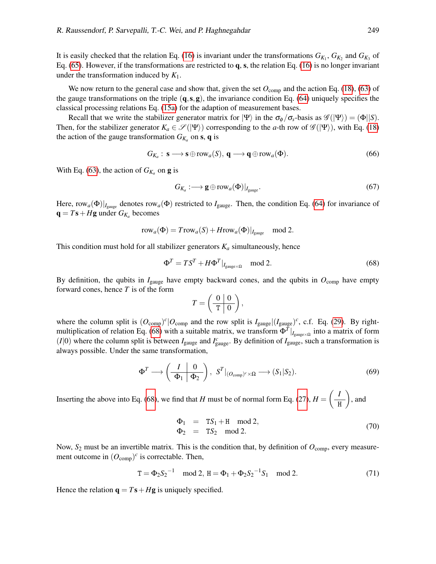It is easily checked that the relation Eq. [\(16\)](#page-8-5) is invariant under the transformations  $G_{K_1}$ ,  $G_{K_2}$  and  $G_{K_3}$  of Eq. [\(65\)](#page-29-2). However, if the transformations are restricted to  $q$ ,  $s$ , the relation Eq. [\(16\)](#page-8-5) is no longer invariant under the transformation induced by *K*1.

We now return to the general case and show that, given the set  $O_{\text{comp}}$  and the action Eq. [\(18\)](#page-8-4), [\(63\)](#page-29-0) of the gauge transformations on the triple  $(q,s,g)$ , the invariance condition Eq. [\(64\)](#page-29-1) uniquely specifies the classical processing relations Eq. [\(15a\)](#page-7-1) for the adaption of measurement bases.

Recall that we write the stabilizer generator matrix for  $|\Psi\rangle$  in the  $\sigma_{\phi}/\sigma_{s}$ -basis as  $\mathscr{G}(|\Psi\rangle) = (\Phi||S)$ . Then, for the stabilizer generator  $K_a \in \mathcal{S}(\Psi)$  corresponding to the *a*-th row of  $\mathcal{G}(\Psi)$ , with Eq. [\(18\)](#page-8-4) the action of the gauge transformation  $G_{K_a}$  on s, q is

$$
G_{K_a}: \mathbf{s} \longrightarrow \mathbf{s} \oplus \text{row}_a(S), \ \mathbf{q} \longrightarrow \mathbf{q} \oplus \text{row}_a(\Phi).
$$
 (66)

With Eq. [\(63\)](#page-29-0), the action of  $G_{K_a}$  on **g** is

$$
G_{K_a} : \longrightarrow \mathbf{g} \oplus \text{row}_a(\Phi)|_{I_{\text{gauge}}}.
$$
\n
$$
(67)
$$

Here,  $\text{row}_a(\Phi)|_{I_{\text{gauge}}}$  denotes  $\text{row}_a(\Phi)$  restricted to  $I_{\text{gauge}}$ . Then, the condition Eq. [\(64\)](#page-29-1) for invariance of  $q = Ts + Hg$  under  $G_{K_a}$  becomes

$$
row_a(\Phi) = Trow_a(S) + Hrow_a(\Phi)|_{I_{gauge}} \mod 2.
$$

This condition must hold for all stabilizer generators  $K_a$  simultaneously, hence

$$
\Phi^T = TS^T + H\Phi^T|_{I_{\text{gauge}\times\Omega}} \mod 2. \tag{68}
$$

By definition, the qubits in  $I_{\text{gauge}}$  have empty backward cones, and the qubits in  $O_{\text{comp}}$  have empty forward cones, hence *T* is of the form

<span id="page-30-0"></span>
$$
T=\left(\begin{array}{c|c} 0 & 0 \\ \hline T & 0 \end{array}\right),\,
$$

where the column split is  $(O_{\text{comp}})^c | O_{\text{comp}}$  and the row split is  $I_{\text{gauge}} | (I_{\text{gauge}})^c$ , c.f. Eq. [\(29\)](#page-13-2). By right-multiplication of relation Eq. [\(68\)](#page-30-0) with a suitable matrix, we transform  $\Phi^T|_{I_{\text{gauge}\times\Omega}}$  into a matrix of form  $(I|0)$  where the column split is between  $I_{\text{gauge}}$  and  $I_{\text{gauge}}^c$ . By definition of  $I_{\text{gauge}}$ , such a transformation is always possible. Under the same transformation,

$$
\Phi^T \longrightarrow \left(\begin{array}{c|c} I & 0 \\ \hline \Phi_1 & \Phi_2 \end{array}\right), \ \ S^T|_{(O_{\text{comp}})^c \times \Omega} \longrightarrow (S_1|S_2). \tag{69}
$$

Inserting the above into Eq. [\(68\)](#page-30-0), we find that *H* must be of normal form Eq. [\(27\)](#page-12-3),  $H = \left(\frac{I}{I} + I\right)$ H , and

$$
\begin{array}{rcl}\n\Phi_1 & = & TS_1 + H \mod 2, \\
\Phi_2 & = & TS_2 \mod 2.\n\end{array} \tag{70}
$$

Now,  $S_2$  must be an invertible matrix. This is the condition that, by definition of  $O_{\text{comp}}$ , every measurement outcome in  $(O_{\text{comp}})^c$  is correctable. Then,

$$
T = \Phi_2 S_2^{-1} \mod 2
$$
,  $H = \Phi_1 + \Phi_2 S_2^{-1} S_1 \mod 2$ . (71)

Hence the relation  $\mathbf{q} = T\mathbf{s} + H\mathbf{g}$  is uniquely specified.